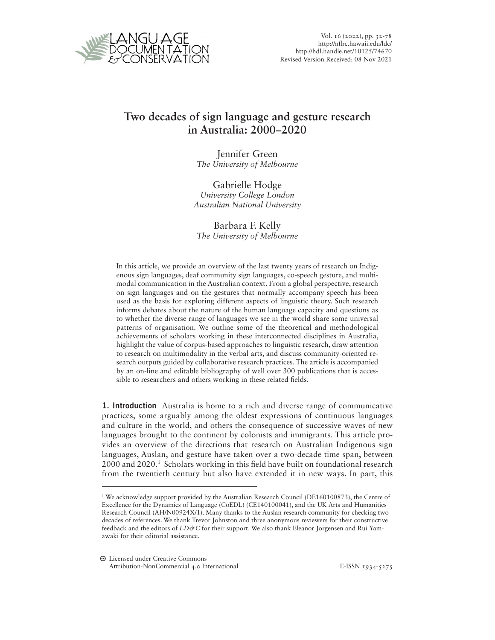

## **Two decades of sign language and gesture research in Australia: 2000–2020**

Jennifer Green *The University of Melbourne*

Gabrielle Hodge *University College London Australian National University*

Barbara F. Kelly *The University of Melbourne*

In this article, we provide an overview of the last twenty years of research on Indigenous sign languages, deaf community sign languages, co-speech gesture, and multimodal communication in the Australian context. From a global perspective, research on sign languages and on the gestures that normally accompany speech has been used as the basis for exploring different aspects of linguistic theory. Such research informs debates about the nature of the human language capacity and questions as to whether the diverse range of languages we see in the world share some universal patterns of organisation. We outline some of the theoretical and methodological achievements of scholars working in these interconnected disciplines in Australia, highlight the value of corpus-based approaches to linguistic research, draw attention to research on multimodality in the verbal arts, and discuss community-oriented research outputs guided by collaborative research practices. The article is accompanied by an on-line and editable bibliography of well over 300 publications that is accessible to researchers and others working in these related fields.

1. Introduction Australia is home to a rich and diverse range of communicative practices, some arguably among the oldest expressions of continuous languages and culture in the world, and others the consequence of successive waves of new languages brought to the continent by colonists and immigrants. This article provides an overview of the directions that research on Australian Indigenous sign languages, Auslan, and gesture have taken over a two-decade time span, between  $2000$  and  $2020<sup>1</sup>$ . Scholars working in this field have built on foundational research from the twentieth century but also have extended it in new ways. In part, this

<sup>1</sup> We acknowledge support provided by the Australian Research Council (DE160100873), the Centre of Excellence for the Dynamics of Language (CoEDL) (CE140100041), and the UK Arts and Humanities Research Council (AH/N00924X/1). Many thanks to the Auslan research community for checking two decades of references. We thank Trevor Johnston and three anonymous reviewers for their constructive feedback and the editors of *LD&C* for their support. We also thank Eleanor Jorgensen and Rui Yamawaki for their editorial assistance.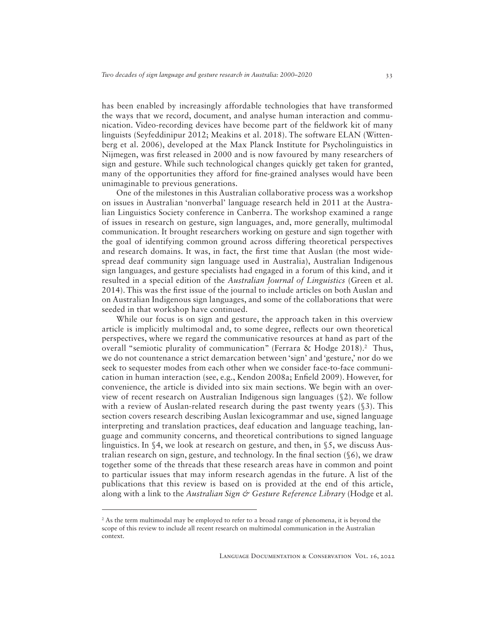has been enabled by increasingly affordable technologies that have transformed the ways that we record, document, and analyse human interaction and communication. Video-recording devices have become part of the fieldwork kit of many linguists (Seyfeddinipur 2012; Meakins et al. 2018). The software ELAN (Wittenberg et al. 2006), developed at the Max Planck Institute for Psycholinguistics in Nijmegen, was first released in 2000 and is now favoured by many researchers of sign and gesture. While such technological changes quickly get taken for granted, many of the opportunities they afford for fine-grained analyses would have been unimaginable to previous generations.

One of the milestones in this Australian collaborative process was a workshop on issues in Australian 'nonverbal' language research held in 2011 at the Australian Linguistics Society conference in Canberra. The workshop examined a range of issues in research on gesture, sign languages, and, more generally, multimodal communication. It brought researchers working on gesture and sign together with the goal of identifying common ground across differing theoretical perspectives and research domains. It was, in fact, the first time that Auslan (the most widespread deaf community sign language used in Australia), Australian Indigenous sign languages, and gesture specialists had engaged in a forum of this kind, and it resulted in a special edition of the *Australian Journal of Linguistics* (Green et al. 2014). This was the first issue of the journal to include articles on both Auslan and on Australian Indigenous sign languages, and some of the collaborations that were seeded in that workshop have continued.

While our focus is on sign and gesture, the approach taken in this overview article is implicitly multimodal and, to some degree, reflects our own theoretical perspectives, where we regard the communicative resources at hand as part of the overall "semiotic plurality of communication" (Ferrara & Hodge 2018).2 Thus, we do not countenance a strict demarcation between 'sign' and 'gesture,' nor do we seek to sequester modes from each other when we consider face-to-face communication in human interaction (see, e.g., Kendon 2008a; Enfield 2009). However, for convenience, the article is divided into six main sections. We begin with an overview of recent research on Australian Indigenous sign languages (§2). We follow with a review of Auslan-related research during the past twenty years (§3). This section covers research describing Auslan lexicogrammar and use, signed language interpreting and translation practices, deaf education and language teaching, language and community concerns, and theoretical contributions to signed language linguistics. In §4, we look at research on gesture, and then, in §5, we discuss Australian research on sign, gesture, and technology. In the final section (§6), we draw together some of the threads that these research areas have in common and point to particular issues that may inform research agendas in the future. A list of the publications that this review is based on is provided at the end of this article, along with a link to the *Australian Sign & Gesture Reference Library* (Hodge et al.

<sup>&</sup>lt;sup>2</sup> As the term multimodal may be employed to refer to a broad range of phenomena, it is beyond the scope of this review to include all recent research on multimodal communication in the Australian context.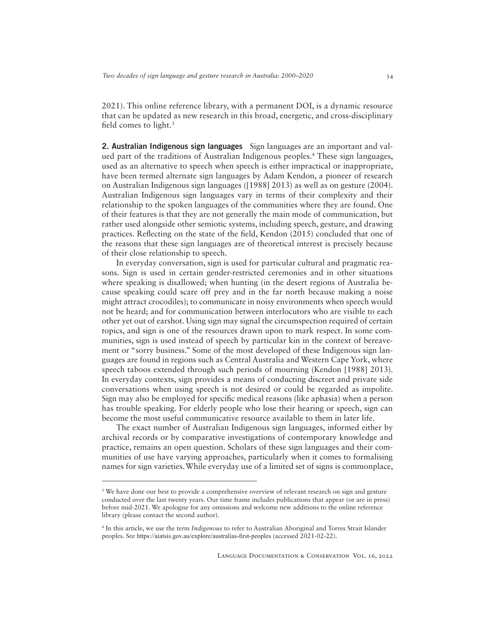2021). This online reference library, with a permanent DOI, is a dynamic resource that can be updated as new research in this broad, energetic, and cross-disciplinary field comes to light.3

2. Australian Indigenous sign languages Sign languages are an important and valued part of the traditions of Australian Indigenous peoples.4 These sign languages, used as an alternative to speech when speech is either impractical or inappropriate, have been termed alternate sign languages by Adam Kendon, a pioneer of research on Australian Indigenous sign languages ([1988] 2013) as well as on gesture (2004). Australian Indigenous sign languages vary in terms of their complexity and their relationship to the spoken languages of the communities where they are found. One of their features is that they are not generally the main mode of communication, but rather used alongside other semiotic systems, including speech, gesture, and drawing practices. Reflecting on the state of the field, Kendon (2015) concluded that one of the reasons that these sign languages are of theoretical interest is precisely because of their close relationship to speech.

In everyday conversation, sign is used for particular cultural and pragmatic reasons. Sign is used in certain gender-restricted ceremonies and in other situations where speaking is disallowed; when hunting (in the desert regions of Australia because speaking could scare off prey and in the far north because making a noise might attract crocodiles); to communicate in noisy environments when speech would not be heard; and for communication between interlocutors who are visible to each other yet out of earshot. Using sign may signal the circumspection required of certain topics, and sign is one of the resources drawn upon to mark respect. In some communities, sign is used instead of speech by particular kin in the context of bereavement or "sorry business." Some of the most developed of these Indigenous sign languages are found in regions such as Central Australia and Western Cape York, where speech taboos extended through such periods of mourning (Kendon [1988] 2013). In everyday contexts, sign provides a means of conducting discreet and private side conversations when using speech is not desired or could be regarded as impolite. Sign may also be employed for specific medical reasons (like aphasia) when a person has trouble speaking. For elderly people who lose their hearing or speech, sign can become the most useful communicative resource available to them in later life.

The exact number of Australian Indigenous sign languages, informed either by archival records or by comparative investigations of contemporary knowledge and practice, remains an open question. Scholars of these sign languages and their communities of use have varying approaches, particularly when it comes to formalising names for sign varieties.While everyday use of a limited set of signs is commonplace,

<sup>&</sup>lt;sup>3</sup> We have done our best to provide a comprehensive overview of relevant research on sign and gesture conducted over the last twenty years. Our time frame includes publications that appear (or are in press) before mid-2021. We apologise for any omissions and welcome new additions to the online reference library (please contact the second author).

<sup>4</sup> In this article, we use the term *Indigenous* to refer to Australian Aboriginal and Torres Strait Islander peoples. See <https://aiatsis.gov.au/explore/australias-first-peoples> (accessed 2021-02-22).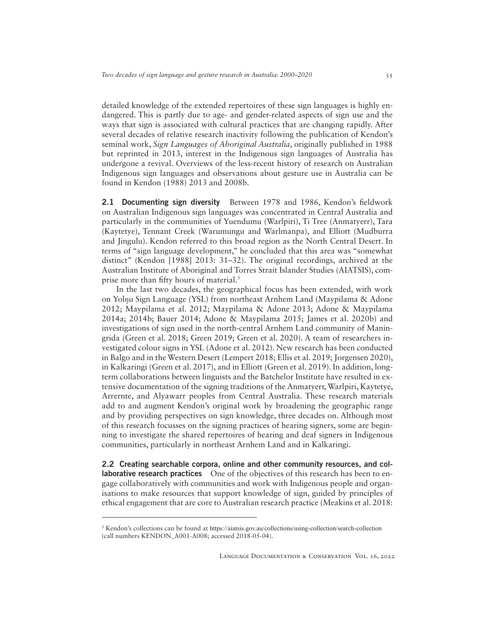detailed knowledge of the extended repertoires of these sign languages is highly endangered. This is partly due to age- and gender-related aspects of sign use and the ways that sign is associated with cultural practices that are changing rapidly. After several decades of relative research inactivity following the publication of Kendon's seminal work, *Sign Languages of Aboriginal Australia*, originally published in 1988 but reprinted in 2013, interest in the Indigenous sign languages of Australia has undergone a revival. Overviews of the less-recent history of research on Australian Indigenous sign languages and observations about gesture use in Australia can be found in Kendon (1988) 2013 and 2008b.

2.1 Documenting sign diversityBetween 1978 and 1986, Kendon's fieldwork on Australian Indigenous sign languages was concentrated in Central Australia and particularly in the communities of Yuendumu (Warlpiri), Ti Tree (Anmatyerr), Tara (Kaytetye), Tennant Creek (Warumungu and Warlmanpa), and Elliott (Mudburra and Jingulu). Kendon referred to this broad region as the North Central Desert. In terms of "sign language development," he concluded that this area was "somewhat distinct" (Kendon [1988] 2013: 31–32). The original recordings, archived at the Australian Institute of Aboriginal and Torres Strait Islander Studies (AIATSIS), comprise more than fifty hours of material.<sup>5</sup>

In the last two decades, the geographical focus has been extended, with work on Yolŋu Sign Language (YSL) from northeast Arnhem Land (Maypilama & Adone 2012; Maypilama et al. 2012; Maypilama & Adone 2013; Adone & Maypilama 2014a; 2014b; Bauer 2014; Adone & Maypilama 2015; James et al. 2020b) and investigations of sign used in the north-central Arnhem Land community of Maningrida (Green et al. 2018; Green 2019; Green et al. 2020). A team of researchers investigated colour signs in YSL (Adone et al. 2012). New research has been conducted in Balgo and in the Western Desert (Lempert 2018; Ellis et al. 2019; Jorgensen 2020), in Kalkaringi (Green et al. 2017), and in Elliott (Green et al. 2019). In addition, longterm collaborations between linguists and the Batchelor Institute have resulted in extensive documentation of the signing traditions of the Anmatyerr, Warlpiri, Kaytetye, Arrernte, and Alyawarr peoples from Central Australia. These research materials add to and augment Kendon's original work by broadening the geographic range and by providing perspectives on sign knowledge, three decades on. Although most of this research focusses on the signing practices of hearing signers, some are beginning to investigate the shared repertoires of hearing and deaf signers in Indigenous communities, particularly in northeast Arnhem Land and in Kalkaringi.

2.2 Creating searchable corpora, online and other community resources, and col**laborative research practices** One of the objectives of this research has been to engage collaboratively with communities and work with Indigenous people and organisations to make resources that support knowledge of sign, guided by principles of ethical engagement that are core to Australian research practice (Meakins et al. 2018:

<sup>5</sup> Kendon's collections can be found at <https://aiatsis.gov.au/collections/using-collection/search-collection> (call numbers KENDON\_A001-A008; accessed 2018-05-04).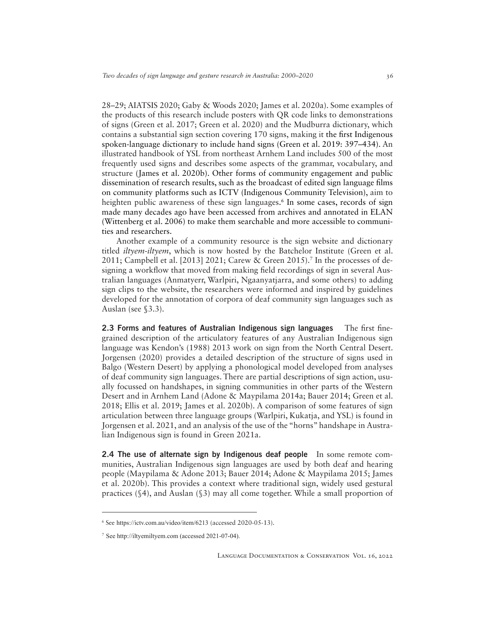28–29; AIATSIS 2020; Gaby & Woods 2020; James et al. 2020a). Some examples of the products of this research include posters with QR code links to demonstrations of signs (Green et al. 2017; Green et al. 2020) and the Mudburra dictionary, which contains a substantial sign section covering 170 signs, making it the first Indigenous spoken-language dictionary to include hand signs (Green et al. 2019: 397–434). An illustrated handbook of YSL from northeast Arnhem Land includes 500 of the most frequently used signs and describes some aspects of the grammar, vocabulary, and structure (James et al. 2020b). Other forms of community engagement and public dissemination of research results, such as the broadcast of edited sign language films on community platforms such as ICTV (Indigenous Community Television), aim to heighten public awareness of these sign languages. 6 In some cases, records of sign made many decades ago have been accessed from archives and annotated in ELAN (Wittenberg et al. 2006) to make them searchable and more accessible to communities and researchers.

Another example of a community resource is the sign website and dictionary titled *iltyem-iltyem*, which is now hosted by the Batchelor Institute (Green et al. 2011; Campbell et al. [2013] 2021; Carew & Green 2015).7 In the processes of designing a workflow that moved from making field recordings of sign in several Australian languages (Anmatyerr, Warlpiri, Ngaanyatjarra, and some others) to adding sign clips to the website, the researchers were informed and inspired by guidelines developed for the annotation of corpora of deaf community sign languages such as Auslan (see §3.3).

2.3 Forms and features of Australian Indigenous sign languages The first finegrained description of the articulatory features of any Australian Indigenous sign language was Kendon's (1988) 2013 work on sign from the North Central Desert. Jorgensen (2020) provides a detailed description of the structure of signs used in Balgo (Western Desert) by applying a phonological model developed from analyses of deaf community sign languages. There are partial descriptions of sign action, usually focussed on handshapes, in signing communities in other parts of the Western Desert and in Arnhem Land (Adone & Maypilama 2014a; Bauer 2014; Green et al. 2018; Ellis et al. 2019; James et al. 2020b). A comparison of some features of sign articulation between three language groups (Warlpiri, Kukatja, and YSL) is found in Jorgensen et al. 2021, and an analysis of the use of the "horns" handshape in Australian Indigenous sign is found in Green 2021a.

2.4 The use of alternate sign by Indigenous deaf peopleIn some remote communities, Australian Indigenous sign languages are used by both deaf and hearing people (Maypilama & Adone 2013; Bauer 2014; Adone & Maypilama 2015; James et al. 2020b). This provides a context where traditional sign, widely used gestural practices (§4), and Auslan (§3) may all come together. While a small proportion of

Language Documentation & Conservation Vol. 16, 2022

<sup>6</sup> See <https://ictv.com.au/video/item/6213> (accessed 2020-05-13).

<sup>7</sup> See <http://iltyemiltyem.com> (accessed 2021-07-04).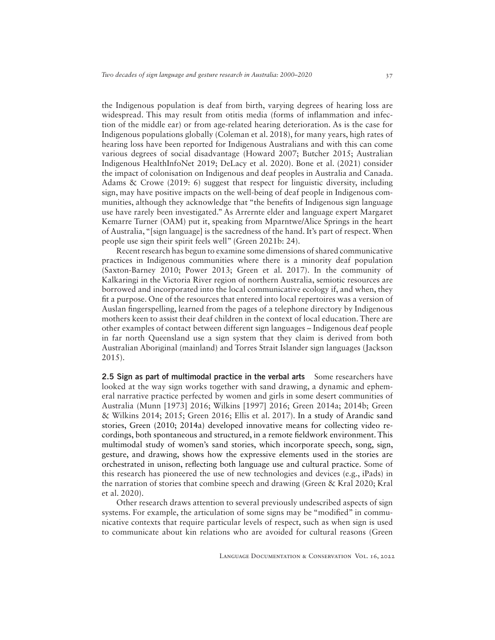the Indigenous population is deaf from birth, varying degrees of hearing loss are widespread. This may result from otitis media (forms of inflammation and infection of the middle ear) or from age-related hearing deterioration. As is the case for Indigenous populations globally (Coleman et al. 2018), for many years, high rates of hearing loss have been reported for Indigenous Australians and with this can come various degrees of social disadvantage (Howard 2007; Butcher 2015; Australian Indigenous HealthInfoNet 2019; DeLacy et al. 2020). Bone et al. (2021) consider the impact of colonisation on Indigenous and deaf peoples in Australia and Canada. Adams & Crowe (2019: 6) suggest that respect for linguistic diversity, including sign, may have positive impacts on the well-being of deaf people in Indigenous communities, although they acknowledge that "the benefits of Indigenous sign language use have rarely been investigated." As Arrernte elder and language expert Margaret Kemarre Turner (OAM) put it, speaking from Mparntwe/Alice Springs in the heart of Australia, "[sign language] is the sacredness of the hand. It's part of respect. When people use sign their spirit feels well" (Green 2021b: 24).

Recent research has begun to examine some dimensions of shared communicative practices in Indigenous communities where there is a minority deaf population (Saxton-Barney 2010; Power 2013; Green et al. 2017). In the community of Kalkaringi in the Victoria River region of northern Australia, semiotic resources are borrowed and incorporated into the local communicative ecology if, and when, they fit a purpose. One of the resources that entered into local repertoires was a version of Auslan fingerspelling, learned from the pages of a telephone directory by Indigenous mothers keen to assist their deaf children in the context of local education. There are other examples of contact between different sign languages – Indigenous deaf people in far north Queensland use a sign system that they claim is derived from both Australian Aboriginal (mainland) and Torres Strait Islander sign languages (Jackson 2015).

**2.5 Sign as part of multimodal practice in the verbal arts** Some researchers have looked at the way sign works together with sand drawing, a dynamic and ephemeral narrative practice perfected by women and girls in some desert communities of Australia (Munn [1973] 2016; Wilkins [1997] 2016; Green 2014a; 2014b; Green & Wilkins 2014; 2015; Green 2016; Ellis et al. 2017). In a study of Arandic sand stories, Green (2010; 2014a) developed innovative means for collecting video recordings, both spontaneous and structured, in a remote fieldwork environment. This multimodal study of women's sand stories, which incorporate speech, song, sign, gesture, and drawing, shows how the expressive elements used in the stories are orchestrated in unison, reflecting both language use and cultural practice. Some of this research has pioneered the use of new technologies and devices (e.g., iPads) in the narration of stories that combine speech and drawing (Green & Kral 2020; Kral et al. 2020).

Other research draws attention to several previously undescribed aspects of sign systems. For example, the articulation of some signs may be "modified" in communicative contexts that require particular levels of respect, such as when sign is used to communicate about kin relations who are avoided for cultural reasons (Green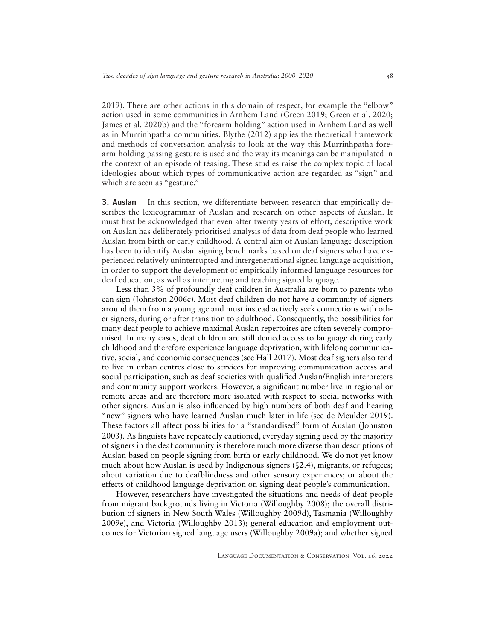2019). There are other actions in this domain of respect, for example the "elbow" action used in some communities in Arnhem Land (Green 2019; Green et al. 2020; James et al. 2020b) and the "forearm-holding" action used in Arnhem Land as well as in Murrinhpatha communities. Blythe (2012) applies the theoretical framework and methods of conversation analysis to look at the way this Murrinhpatha forearm-holding passing-gesture is used and the way its meanings can be manipulated in the context of an episode of teasing. These studies raise the complex topic of local ideologies about which types of communicative action are regarded as "sign" and which are seen as "gesture."

**3. Auslan** In this section, we differentiate between research that empirically describes the lexicogrammar of Auslan and research on other aspects of Auslan. It must first be acknowledged that even after twenty years of effort, descriptive work on Auslan has deliberately prioritised analysis of data from deaf people who learned Auslan from birth or early childhood. A central aim of Auslan language description has been to identify Auslan signing benchmarks based on deaf signers who have experienced relatively uninterrupted and intergenerational signed language acquisition, in order to support the development of empirically informed language resources for deaf education, as well as interpreting and teaching signed language.

Less than 3% of profoundly deaf children in Australia are born to parents who can sign (Johnston 2006c). Most deaf children do not have a community of signers around them from a young age and must instead actively seek connections with other signers, during or after transition to adulthood. Consequently, the possibilities for many deaf people to achieve maximal Auslan repertoires are often severely compromised. In many cases, deaf children are still denied access to language during early childhood and therefore experience language deprivation, with lifelong communicative, social, and economic consequences (see Hall 2017). Most deaf signers also tend to live in urban centres close to services for improving communication access and social participation, such as deaf societies with qualified Auslan/English interpreters and community support workers. However, a significant number live in regional or remote areas and are therefore more isolated with respect to social networks with other signers. Auslan is also influenced by high numbers of both deaf and hearing "new" signers who have learned Auslan much later in life (see de Meulder 2019). These factors all affect possibilities for a "standardised" form of Auslan (Johnston 2003). As linguists have repeatedly cautioned, everyday signing used by the majority of signers in the deaf community is therefore much more diverse than descriptions of Auslan based on people signing from birth or early childhood. We do not yet know much about how Auslan is used by Indigenous signers (§2.4), migrants, or refugees; about variation due to deafblindness and other sensory experiences; or about the effects of childhood language deprivation on signing deaf people's communication.

However, researchers have investigated the situations and needs of deaf people from migrant backgrounds living in Victoria (Willoughby 2008); the overall distribution of signers in New South Wales (Willoughby 2009d), Tasmania (Willoughby 2009e), and Victoria (Willoughby 2013); general education and employment outcomes for Victorian signed language users (Willoughby 2009a); and whether signed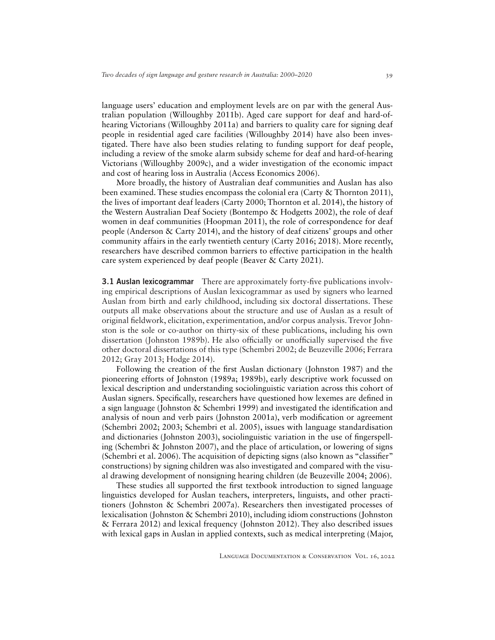language users' education and employment levels are on par with the general Australian population (Willoughby 2011b). Aged care support for deaf and hard-ofhearing Victorians (Willoughby 2011a) and barriers to quality care for signing deaf people in residential aged care facilities (Willoughby 2014) have also been investigated. There have also been studies relating to funding support for deaf people, including a review of the smoke alarm subsidy scheme for deaf and hard-of-hearing Victorians (Willoughby 2009c), and a wider investigation of the economic impact and cost of hearing loss in Australia (Access Economics 2006).

More broadly, the history of Australian deaf communities and Auslan has also been examined. These studies encompass the colonial era (Carty & Thornton 2011), the lives of important deaf leaders (Carty 2000; Thornton et al. 2014), the history of the Western Australian Deaf Society (Bontempo & Hodgetts 2002), the role of deaf women in deaf communities (Hoopman 2011), the role of correspondence for deaf people (Anderson & Carty 2014), and the history of deaf citizens' groups and other community affairs in the early twentieth century (Carty 2016; 2018). More recently, researchers have described common barriers to effective participation in the health care system experienced by deaf people (Beaver & Carty 2021).

**3.1 Auslan lexicogrammar** There are approximately forty-five publications involying empirical descriptions of Auslan lexicogrammar as used by signers who learned Auslan from birth and early childhood, including six doctoral dissertations. These outputs all make observations about the structure and use of Auslan as a result of original fieldwork, elicitation, experimentation, and/or corpus analysis. Trevor Johnston is the sole or co-author on thirty-six of these publications, including his own dissertation (Johnston 1989b). He also officially or unofficially supervised the five other doctoral dissertations of this type (Schembri 2002; de Beuzeville 2006; Ferrara 2012; Gray 2013; Hodge 2014).

Following the creation of the first Auslan dictionary (Johnston 1987) and the pioneering efforts of Johnston (1989a; 1989b), early descriptive work focussed on lexical description and understanding sociolinguistic variation across this cohort of Auslan signers. Specifically, researchers have questioned how lexemes are defined in a sign language (Johnston & Schembri 1999) and investigated the identification and analysis of noun and verb pairs (Johnston 2001a), verb modification or agreement (Schembri 2002; 2003; Schembri et al. 2005), issues with language standardisation and dictionaries (Johnston 2003), sociolinguistic variation in the use of fingerspelling (Schembri & Johnston 2007), and the place of articulation, or lowering of signs (Schembri et al. 2006). The acquisition of depicting signs (also known as "classifier" constructions) by signing children was also investigated and compared with the visual drawing development of nonsigning hearing children (de Beuzeville 2004; 2006).

These studies all supported the first textbook introduction to signed language linguistics developed for Auslan teachers, interpreters, linguists, and other practitioners (Johnston & Schembri 2007a). Researchers then investigated processes of lexicalisation (Johnston & Schembri 2010), including idiom constructions (Johnston & Ferrara 2012) and lexical frequency (Johnston 2012). They also described issues with lexical gaps in Auslan in applied contexts, such as medical interpreting (Major,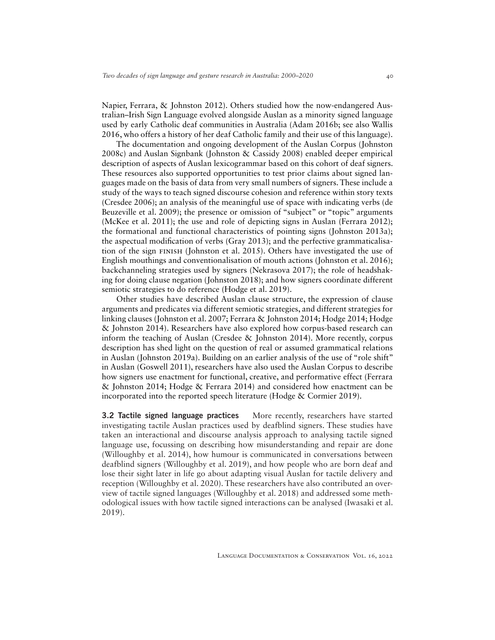Napier, Ferrara, & Johnston 2012). Others studied how the now-endangered Australian–Irish Sign Language evolved alongside Auslan as a minority signed language used by early Catholic deaf communities in Australia (Adam 2016b; see also Wallis 2016, who offers a history of her deaf Catholic family and their use of this language).

The documentation and ongoing development of the Auslan Corpus (Johnston 2008c) and Auslan Signbank (Johnston & Cassidy 2008) enabled deeper empirical description of aspects of Auslan lexicogrammar based on this cohort of deaf signers. These resources also supported opportunities to test prior claims about signed languages made on the basis of data from very small numbers of signers. These include a study of the ways to teach signed discourse cohesion and reference within story texts (Cresdee 2006); an analysis of the meaningful use of space with indicating verbs (de Beuzeville et al. 2009); the presence or omission of "subject" or "topic" arguments (McKee et al. 2011); the use and role of depicting signs in Auslan (Ferrara 2012); the formational and functional characteristics of pointing signs (Johnston 2013a); the aspectual modification of verbs (Gray 2013); and the perfective grammaticalisation of the sign finish (Johnston et al. 2015). Others have investigated the use of English mouthings and conventionalisation of mouth actions (Johnston et al. 2016); backchanneling strategies used by signers (Nekrasova 2017); the role of headshaking for doing clause negation (Johnston 2018); and how signers coordinate different semiotic strategies to do reference (Hodge et al. 2019).

Other studies have described Auslan clause structure, the expression of clause arguments and predicates via different semiotic strategies, and different strategies for linking clauses (Johnston et al. 2007; Ferrara & Johnston 2014; Hodge 2014; Hodge & Johnston 2014). Researchers have also explored how corpus-based research can inform the teaching of Auslan (Cresdee & Johnston 2014). More recently, corpus description has shed light on the question of real or assumed grammatical relations in Auslan (Johnston 2019a). Building on an earlier analysis of the use of "role shift" in Auslan (Goswell 2011), researchers have also used the Auslan Corpus to describe how signers use enactment for functional, creative, and performative effect (Ferrara & Johnston 2014; Hodge & Ferrara 2014) and considered how enactment can be incorporated into the reported speech literature (Hodge & Cormier 2019).

**3.2 Tactile signed language practices** More recently, researchers have started investigating tactile Auslan practices used by deafblind signers. These studies have taken an interactional and discourse analysis approach to analysing tactile signed language use, focussing on describing how misunderstanding and repair are done (Willoughby et al. 2014), how humour is communicated in conversations between deafblind signers (Willoughby et al. 2019), and how people who are born deaf and lose their sight later in life go about adapting visual Auslan for tactile delivery and reception (Willoughby et al. 2020). These researchers have also contributed an overview of tactile signed languages (Willoughby et al. 2018) and addressed some methodological issues with how tactile signed interactions can be analysed (Iwasaki et al. 2019).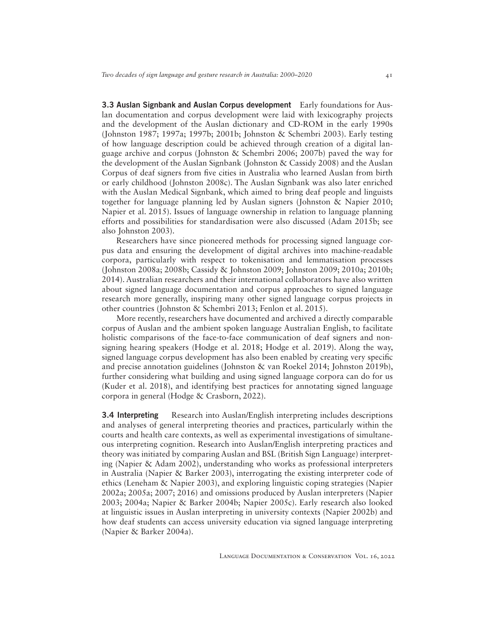**3.3 Auslan Signbank and Auslan Corpus development** Early foundations for Auslan documentation and corpus development were laid with lexicography projects and the development of the Auslan dictionary and CD-ROM in the early 1990s (Johnston 1987; 1997a; 1997b; 2001b; Johnston & Schembri 2003). Early testing of how language description could be achieved through creation of a digital language archive and corpus (Johnston & Schembri 2006; 2007b) paved the way for the development of the Auslan Signbank (Johnston & Cassidy 2008) and the Auslan Corpus of deaf signers from five cities in Australia who learned Auslan from birth or early childhood (Johnston 2008c). The Auslan Signbank was also later enriched with the Auslan Medical Signbank, which aimed to bring deaf people and linguists together for language planning led by Auslan signers (Johnston & Napier 2010; Napier et al. 2015). Issues of language ownership in relation to language planning efforts and possibilities for standardisation were also discussed (Adam 2015b; see also Johnston 2003).

Researchers have since pioneered methods for processing signed language corpus data and ensuring the development of digital archives into machine-readable corpora, particularly with respect to tokenisation and lemmatisation processes (Johnston 2008a; 2008b; Cassidy & Johnston 2009; Johnston 2009; 2010a; 2010b; 2014). Australian researchers and their international collaborators have also written about signed language documentation and corpus approaches to signed language research more generally, inspiring many other signed language corpus projects in other countries (Johnston & Schembri 2013; Fenlon et al. 2015).

More recently, researchers have documented and archived a directly comparable corpus of Auslan and the ambient spoken language Australian English, to facilitate holistic comparisons of the face-to-face communication of deaf signers and nonsigning hearing speakers (Hodge et al. 2018; Hodge et al. 2019). Along the way, signed language corpus development has also been enabled by creating very specific and precise annotation guidelines (Johnston & van Roekel 2014; Johnston 2019b), further considering what building and using signed language corpora can do for us (Kuder et al. 2018), and identifying best practices for annotating signed language corpora in general (Hodge & Crasborn, 2022).

**3.4 Interpreting** Research into Auslan/English interpreting includes descriptions and analyses of general interpreting theories and practices, particularly within the courts and health care contexts, as well as experimental investigations of simultaneous interpreting cognition. Research into Auslan/English interpreting practices and theory was initiated by comparing Auslan and BSL (British Sign Language) interpreting (Napier & Adam 2002), understanding who works as professional interpreters in Australia (Napier & Barker 2003), interrogating the existing interpreter code of ethics (Leneham & Napier 2003), and exploring linguistic coping strategies (Napier 2002a; 2005a; 2007; 2016) and omissions produced by Auslan interpreters (Napier 2003; 2004a; Napier & Barker 2004b; Napier 2005c). Early research also looked at linguistic issues in Auslan interpreting in university contexts (Napier 2002b) and how deaf students can access university education via signed language interpreting (Napier & Barker 2004a).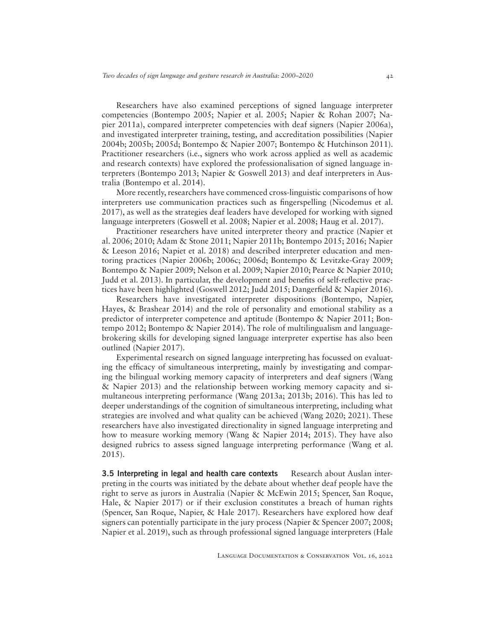Researchers have also examined perceptions of signed language interpreter competencies (Bontempo 2005; Napier et al. 2005; Napier & Rohan 2007; Napier 2011a), compared interpreter competencies with deaf signers (Napier 2006a), and investigated interpreter training, testing, and accreditation possibilities (Napier 2004b; 2005b; 2005d; Bontempo & Napier 2007; Bontempo & Hutchinson 2011). Practitioner researchers (i.e., signers who work across applied as well as academic and research contexts) have explored the professionalisation of signed language interpreters (Bontempo 2013; Napier & Goswell 2013) and deaf interpreters in Australia (Bontempo et al. 2014).

More recently, researchers have commenced cross-linguistic comparisons of how interpreters use communication practices such as fingerspelling (Nicodemus et al. 2017), as well as the strategies deaf leaders have developed for working with signed language interpreters (Goswell et al. 2008; Napier et al. 2008; Haug et al. 2017).

Practitioner researchers have united interpreter theory and practice (Napier et al. 2006; 2010; Adam & Stone 2011; Napier 2011b; Bontempo 2015; 2016; Napier & Leeson 2016; Napiet et al. 2018) and described interpreter education and mentoring practices (Napier 2006b; 2006c; 2006d; Bontempo & Levitzke-Gray 2009; Bontempo & Napier 2009; Nelson et al. 2009; Napier 2010; Pearce & Napier 2010; Judd et al. 2013). In particular, the development and benefits of self-reflective practices have been highlighted (Goswell 2012; Judd 2015; Dangerfield & Napier 2016).

Researchers have investigated interpreter dispositions (Bontempo, Napier, Hayes, & Brashear 2014) and the role of personality and emotional stability as a predictor of interpreter competence and aptitude (Bontempo & Napier 2011; Bontempo 2012; Bontempo & Napier 2014). The role of multilingualism and languagebrokering skills for developing signed language interpreter expertise has also been outlined (Napier 2017).

Experimental research on signed language interpreting has focussed on evaluating the efficacy of simultaneous interpreting, mainly by investigating and comparing the bilingual working memory capacity of interpreters and deaf signers (Wang & Napier 2013) and the relationship between working memory capacity and simultaneous interpreting performance (Wang 2013a; 2013b; 2016). This has led to deeper understandings of the cognition of simultaneous interpreting, including what strategies are involved and what quality can be achieved (Wang 2020; 2021). These researchers have also investigated directionality in signed language interpreting and how to measure working memory (Wang & Napier 2014; 2015). They have also designed rubrics to assess signed language interpreting performance (Wang et al. 2015).

**3.5 Interpreting in legal and health care contexts** Research about Auslan interpreting in the courts was initiated by the debate about whether deaf people have the right to serve as jurors in Australia (Napier & McEwin 2015; Spencer, San Roque, Hale, & Napier 2017) or if their exclusion constitutes a breach of human rights (Spencer, San Roque, Napier, & Hale 2017). Researchers have explored how deaf signers can potentially participate in the jury process (Napier & Spencer 2007; 2008; Napier et al. 2019), such as through professional signed language interpreters (Hale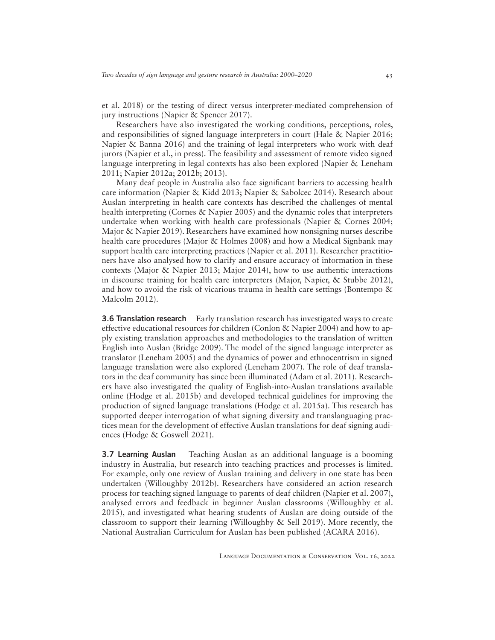et al. 2018) or the testing of direct versus interpreter-mediated comprehension of jury instructions (Napier & Spencer 2017).

Researchers have also investigated the working conditions, perceptions, roles, and responsibilities of signed language interpreters in court (Hale & Napier 2016; Napier & Banna 2016) and the training of legal interpreters who work with deaf jurors (Napier et al., in press). The feasibility and assessment of remote video signed language interpreting in legal contexts has also been explored (Napier & Leneham 2011; Napier 2012a; 2012b; 2013).

Many deaf people in Australia also face significant barriers to accessing health care information (Napier & Kidd 2013; Napier & Sabolcec 2014). Research about Auslan interpreting in health care contexts has described the challenges of mental health interpreting (Cornes & Napier 2005) and the dynamic roles that interpreters undertake when working with health care professionals (Napier & Cornes 2004; Major & Napier 2019). Researchers have examined how nonsigning nurses describe health care procedures (Major & Holmes 2008) and how a Medical Signbank may support health care interpreting practices (Napier et al. 2011). Researcher practitioners have also analysed how to clarify and ensure accuracy of information in these contexts (Major & Napier 2013; Major 2014), how to use authentic interactions in discourse training for health care interpreters (Major, Napier, & Stubbe 2012), and how to avoid the risk of vicarious trauma in health care settings (Bontempo & Malcolm 2012).

**3.6 Translation research** Early translation research has investigated ways to create effective educational resources for children (Conlon & Napier 2004) and how to apply existing translation approaches and methodologies to the translation of written English into Auslan (Bridge 2009). The model of the signed language interpreter as translator (Leneham 2005) and the dynamics of power and ethnocentrism in signed language translation were also explored (Leneham 2007). The role of deaf translators in the deaf community has since been illuminated (Adam et al. 2011). Researchers have also investigated the quality of English-into-Auslan translations available online (Hodge et al. 2015b) and developed technical guidelines for improving the production of signed language translations (Hodge et al. 2015a). This research has supported deeper interrogation of what signing diversity and translanguaging practices mean for the development of effective Auslan translations for deaf signing audiences (Hodge & Goswell 2021).

**3.7 Learning Auslan** Teaching Auslan as an additional language is a booming industry in Australia, but research into teaching practices and processes is limited. For example, only one review of Auslan training and delivery in one state has been undertaken (Willoughby 2012b). Researchers have considered an action research process for teaching signed language to parents of deaf children (Napier et al. 2007), analysed errors and feedback in beginner Auslan classrooms (Willoughby et al. 2015), and investigated what hearing students of Auslan are doing outside of the classroom to support their learning (Willoughby & Sell 2019). More recently, the National Australian Curriculum for Auslan has been published (ACARA 2016).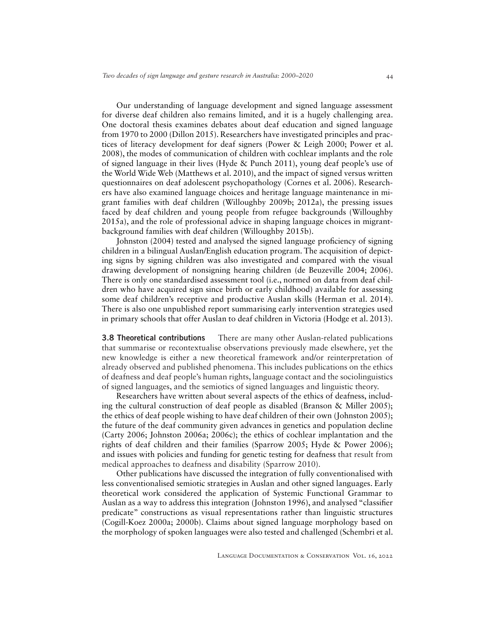Our understanding of language development and signed language assessment for diverse deaf children also remains limited, and it is a hugely challenging area. One doctoral thesis examines debates about deaf education and signed language from 1970 to 2000 (Dillon 2015). Researchers have investigated principles and practices of literacy development for deaf signers (Power & Leigh 2000; Power et al. 2008), the modes of communication of children with cochlear implants and the role of signed language in their lives (Hyde & Punch 2011), young deaf people's use of the World Wide Web (Matthews et al. 2010), and the impact of signed versus written questionnaires on deaf adolescent psychopathology (Cornes et al. 2006). Researchers have also examined language choices and heritage language maintenance in migrant families with deaf children (Willoughby 2009b; 2012a), the pressing issues faced by deaf children and young people from refugee backgrounds (Willoughby 2015a), and the role of professional advice in shaping language choices in migrantbackground families with deaf children (Willoughby 2015b).

Johnston (2004) tested and analysed the signed language proficiency of signing children in a bilingual Auslan/English education program. The acquisition of depicting signs by signing children was also investigated and compared with the visual drawing development of nonsigning hearing children (de Beuzeville 2004; 2006). There is only one standardised assessment tool (i.e., normed on data from deaf children who have acquired sign since birth or early childhood) available for assessing some deaf children's receptive and productive Auslan skills (Herman et al. 2014). There is also one unpublished report summarising early intervention strategies used in primary schools that offer Auslan to deaf children in Victoria (Hodge et al. 2013).

**3.8 Theoretical contributions** There are many other Auslan-related publications that summarise or recontextualise observations previously made elsewhere, yet the new knowledge is either a new theoretical framework and/or reinterpretation of already observed and published phenomena. This includes publications on the ethics of deafness and deaf people's human rights, language contact and the sociolinguistics of signed languages, and the semiotics of signed languages and linguistic theory.

Researchers have written about several aspects of the ethics of deafness, including the cultural construction of deaf people as disabled (Branson & Miller 2005); the ethics of deaf people wishing to have deaf children of their own (Johnston 2005); the future of the deaf community given advances in genetics and population decline (Carty 2006; Johnston 2006a; 2006c); the ethics of cochlear implantation and the rights of deaf children and their families (Sparrow 2005; Hyde & Power 2006); and issues with policies and funding for genetic testing for deafness that result from medical approaches to deafness and disability (Sparrow 2010).

Other publications have discussed the integration of fully conventionalised with less conventionalised semiotic strategies in Auslan and other signed languages. Early theoretical work considered the application of Systemic Functional Grammar to Auslan as a way to address this integration (Johnston 1996), and analysed "classifier predicate" constructions as visual representations rather than linguistic structures (Cogill-Koez 2000a; 2000b). Claims about signed language morphology based on the morphology of spoken languages were also tested and challenged (Schembri et al.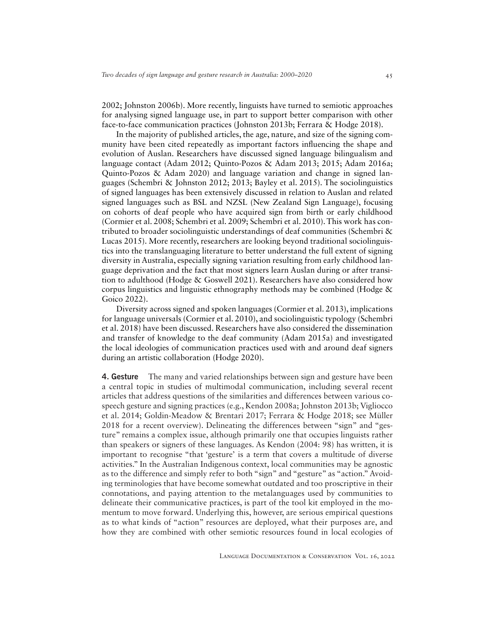2002; Johnston 2006b). More recently, linguists have turned to semiotic approaches for analysing signed language use, in part to support better comparison with other face-to-face communication practices (Johnston 2013b; Ferrara & Hodge 2018).

In the majority of published articles, the age, nature, and size of the signing community have been cited repeatedly as important factors influencing the shape and evolution of Auslan. Researchers have discussed signed language bilingualism and language contact (Adam 2012; Quinto-Pozos & Adam 2013; 2015; Adam 2016a; Quinto-Pozos & Adam 2020) and language variation and change in signed languages (Schembri & Johnston 2012; 2013; Bayley et al. 2015). The sociolinguistics of signed languages has been extensively discussed in relation to Auslan and related signed languages such as BSL and NZSL (New Zealand Sign Language), focusing on cohorts of deaf people who have acquired sign from birth or early childhood (Cormier et al. 2008; Schembri et al. 2009; Schembri et al. 2010). This work has contributed to broader sociolinguistic understandings of deaf communities (Schembri & Lucas 2015). More recently, researchers are looking beyond traditional sociolinguistics into the translanguaging literature to better understand the full extent of signing diversity in Australia, especially signing variation resulting from early childhood language deprivation and the fact that most signers learn Auslan during or after transition to adulthood (Hodge & Goswell 2021). Researchers have also considered how corpus linguistics and linguistic ethnography methods may be combined (Hodge & Goico 2022).

Diversity across signed and spoken languages (Cormier et al. 2013), implications for language universals (Cormier et al. 2010), and sociolinguistic typology (Schembri et al. 2018) have been discussed. Researchers have also considered the dissemination and transfer of knowledge to the deaf community (Adam 2015a) and investigated the local ideologies of communication practices used with and around deaf signers during an artistic collaboration (Hodge 2020).

**4. Gesture** The many and varied relationships between sign and gesture have been a central topic in studies of multimodal communication, including several recent articles that address questions of the similarities and differences between various cospeech gesture and signing practices (e.g., Kendon 2008a; Johnston 2013b; Vigliocco et al. 2014; Goldin-Meadow & Brentari 2017; Ferrara & Hodge 2018; see Müller 2018 for a recent overview). Delineating the differences between "sign" and "gesture" remains a complex issue, although primarily one that occupies linguists rather than speakers or signers of these languages. As Kendon (2004: 98) has written, it is important to recognise "that 'gesture' is a term that covers a multitude of diverse activities." In the Australian Indigenous context, local communities may be agnostic as to the difference and simply refer to both "sign" and "gesture" as "action." Avoiding terminologies that have become somewhat outdated and too proscriptive in their connotations, and paying attention to the metalanguages used by communities to delineate their communicative practices, is part of the tool kit employed in the momentum to move forward. Underlying this, however, are serious empirical questions as to what kinds of "action" resources are deployed, what their purposes are, and how they are combined with other semiotic resources found in local ecologies of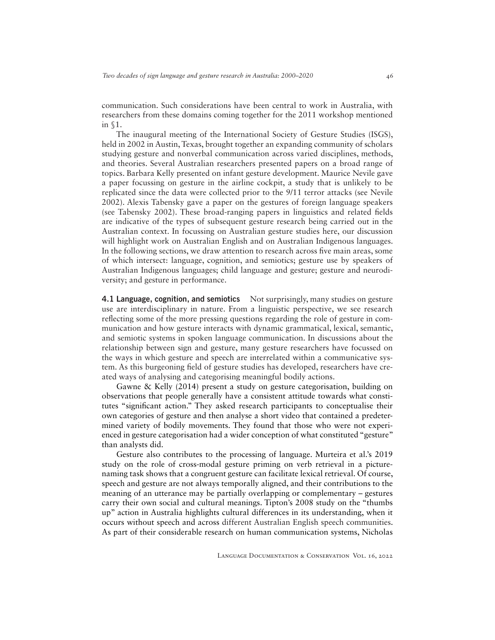communication. Such considerations have been central to work in Australia, with researchers from these domains coming together for the 2011 workshop mentioned in §1.

The inaugural meeting of the International Society of Gesture Studies (ISGS), held in 2002 in Austin, Texas, brought together an expanding community of scholars studying gesture and nonverbal communication across varied disciplines, methods, and theories. Several Australian researchers presented papers on a broad range of topics. Barbara Kelly presented on infant gesture development. Maurice Nevile gave a paper focussing on gesture in the airline cockpit, a study that is unlikely to be replicated since the data were collected prior to the 9/11 terror attacks (see Nevile 2002). Alexis Tabensky gave a paper on the gestures of foreign language speakers (see Tabensky 2002). These broad-ranging papers in linguistics and related fields are indicative of the types of subsequent gesture research being carried out in the Australian context. In focussing on Australian gesture studies here, our discussion will highlight work on Australian English and on Australian Indigenous languages. In the following sections, we draw attention to research across five main areas, some of which intersect: language, cognition, and semiotics; gesture use by speakers of Australian Indigenous languages; child language and gesture; gesture and neurodiversity; and gesture in performance.

**4.1 Language, cognition, and semiotics** Not surprisingly, many studies on gesture use are interdisciplinary in nature. From a linguistic perspective, we see research reflecting some of the more pressing questions regarding the role of gesture in communication and how gesture interacts with dynamic grammatical, lexical, semantic, and semiotic systems in spoken language communication. In discussions about the relationship between sign and gesture, many gesture researchers have focussed on the ways in which gesture and speech are interrelated within a communicative system. As this burgeoning field of gesture studies has developed, researchers have created ways of analysing and categorising meaningful bodily actions.

Gawne & Kelly (2014) present a study on gesture categorisation, building on observations that people generally have a consistent attitude towards what constitutes "significant action." They asked research participants to conceptualise their own categories of gesture and then analyse a short video that contained a predetermined variety of bodily movements. They found that those who were not experienced in gesture categorisation had a wider conception of what constituted "gesture" than analysts did.

Gesture also contributes to the processing of language. Murteira et al.'s 2019 study on the role of cross-modal gesture priming on verb retrieval in a picturenaming task shows that a congruent gesture can facilitate lexical retrieval. Of course, speech and gesture are not always temporally aligned, and their contributions to the meaning of an utterance may be partially overlapping or complementary – gestures carry their own social and cultural meanings. Tipton's 2008 study on the "thumbs up" action in Australia highlights cultural differences in its understanding, when it occurs without speech and across different Australian English speech communities. As part of their considerable research on human communication systems, Nicholas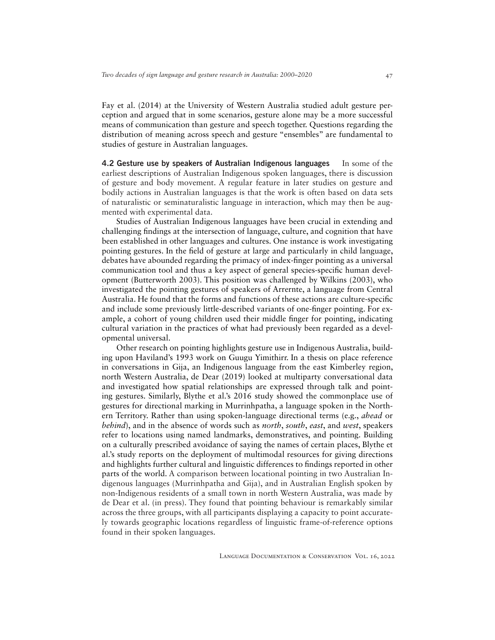Fay et al. (2014) at the University of Western Australia studied adult gesture perception and argued that in some scenarios, gesture alone may be a more successful means of communication than gesture and speech together. Questions regarding the distribution of meaning across speech and gesture "ensembles" are fundamental to studies of gesture in Australian languages.

4.2 Gesture use by speakers of Australian Indigenous languages In some of the earliest descriptions of Australian Indigenous spoken languages, there is discussion of gesture and body movement. A regular feature in later studies on gesture and bodily actions in Australian languages is that the work is often based on data sets of naturalistic or seminaturalistic language in interaction, which may then be augmented with experimental data.

Studies of Australian Indigenous languages have been crucial in extending and challenging findings at the intersection of language, culture, and cognition that have been established in other languages and cultures. One instance is work investigating pointing gestures. In the field of gesture at large and particularly in child language, debates have abounded regarding the primacy of index-finger pointing as a universal communication tool and thus a key aspect of general species-specific human development (Butterworth 2003). This position was challenged by Wilkins (2003), who investigated the pointing gestures of speakers of Arrernte, a language from Central Australia. He found that the forms and functions of these actions are culture-specific and include some previously little-described variants of one-finger pointing. For example, a cohort of young children used their middle finger for pointing, indicating cultural variation in the practices of what had previously been regarded as a developmental universal.

Other research on pointing highlights gesture use in Indigenous Australia, building upon Haviland's 1993 work on Guugu Yimithirr. In a thesis on place reference in conversations in Gija, an Indigenous language from the east Kimberley region, north Western Australia, de Dear (2019) looked at multiparty conversational data and investigated how spatial relationships are expressed through talk and pointing gestures. Similarly, Blythe et al.'s 2016 study showed the commonplace use of gestures for directional marking in Murrinhpatha, a language spoken in the Northern Territory. Rather than using spoken-language directional terms (e.g., *ahead* or *behind*), and in the absence of words such as *north*, *south*, *east*, and *west*, speakers refer to locations using named landmarks, demonstratives, and pointing. Building on a culturally prescribed avoidance of saying the names of certain places, Blythe et al.'s study reports on the deployment of multimodal resources for giving directions and highlights further cultural and linguistic differences to findings reported in other parts of the world. A comparison between locational pointing in two Australian Indigenous languages (Murrinhpatha and Gija), and in Australian English spoken by non-Indigenous residents of a small town in north Western Australia, was made by de Dear et al. (in press). They found that pointing behaviour is remarkably similar across the three groups, with all participants displaying a capacity to point accurately towards geographic locations regardless of linguistic frame-of-reference options found in their spoken languages.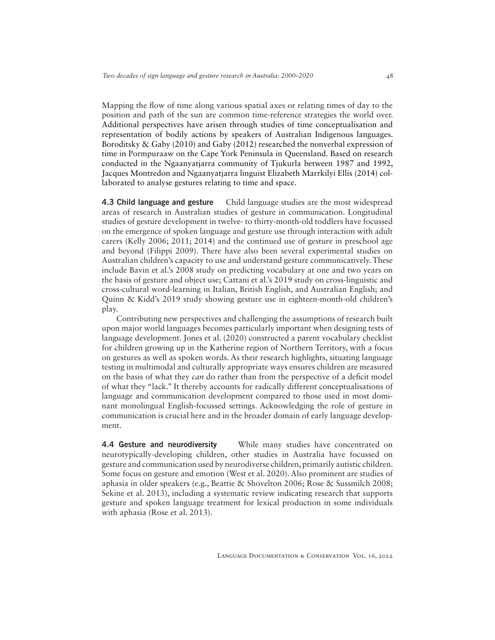Mapping the flow of time along various spatial axes or relating times of day to the position and path of the sun are common time-reference strategies the world over. Additional perspectives have arisen through studies of time conceptualisation and representation of bodily actions by speakers of Australian Indigenous languages. Boroditsky & Gaby (2010) and Gaby (2012) researched the nonverbal expression of time in Pormpuraaw on the Cape York Peninsula in Queensland. Based on research conducted in the Ngaanyatjarra community of Tjukurla between 1987 and 1992, Jacques Montredon and Ngaanyatjarra linguist Elizabeth Marrkilyi Ellis (2014) collaborated to analyse gestures relating to time and space.

**4.3 Child language and gesture** Child language studies are the most widespread areas of research in Australian studies of gesture in communication. Longitudinal studies of gesture development in twelve- to thirty-month-old toddlers have focussed on the emergence of spoken language and gesture use through interaction with adult carers (Kelly 2006; 2011; 2014) and the continued use of gesture in preschool age and beyond (Filippi 2009). There have also been several experimental studies on Australian children's capacity to use and understand gesture communicatively. These include Bavin et al.'s 2008 study on predicting vocabulary at one and two years on the basis of gesture and object use; Cattani et al.'s 2019 study on cross-linguistic and cross-cultural word-learning in Italian, British English, and Australian English; and Quinn & Kidd's 2019 study showing gesture use in eighteen-month-old children's play.

Contributing new perspectives and challenging the assumptions of research built upon major world languages becomes particularly important when designing tests of language development. Jones et al. (2020) constructed a parent vocabulary checklist for children growing up in the Katherine region of Northern Territory, with a focus on gestures as well as spoken words. As their research highlights, situating language testing in multimodal and culturally appropriate ways ensures children are measured on the basis of what they *can* do rather than from the perspective of a deficit model of what they "lack." It thereby accounts for radically different conceptualisations of language and communication development compared to those used in most dominant monolingual English-focussed settings. Acknowledging the role of gesture in communication is crucial here and in the broader domain of early language development.

4.4 Gesture and neurodiversity While many studies have concentrated on neurotypically-developing children, other studies in Australia have focussed on gesture and communication used by neurodiverse children, primarily autistic children. Some focus on gesture and emotion (West et al. 2020). Also prominent are studies of aphasia in older speakers (e.g., Beattie & Shovelton 2006; Rose & Sussmilch 2008; Sekine et al. 2013), including a systematic review indicating research that supports gesture and spoken language treatment for lexical production in some individuals with aphasia (Rose et al. 2013).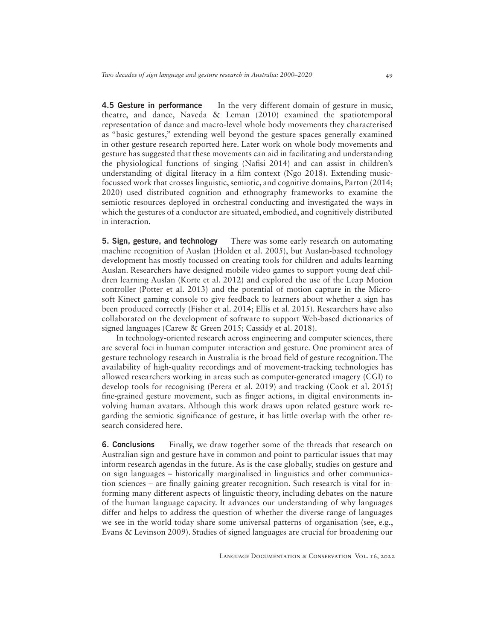**4.5 Gesture in performance** In the very different domain of gesture in music, theatre, and dance, Naveda & Leman (2010) examined the spatiotemporal representation of dance and macro-level whole body movements they characterised as "basic gestures," extending well beyond the gesture spaces generally examined in other gesture research reported here. Later work on whole body movements and gesture has suggested that these movements can aid in facilitating and understanding the physiological functions of singing (Nafisi 2014) and can assist in children's understanding of digital literacy in a film context (Ngo 2018). Extending musicfocussed work that crosses linguistic, semiotic, and cognitive domains, Parton (2014; 2020) used distributed cognition and ethnography frameworks to examine the semiotic resources deployed in orchestral conducting and investigated the ways in which the gestures of a conductor are situated, embodied, and cognitively distributed in interaction.

**5. Sign, gesture, and technology** There was some early research on automating machine recognition of Auslan (Holden et al. 2005), but Auslan-based technology development has mostly focussed on creating tools for children and adults learning Auslan. Researchers have designed mobile video games to support young deaf children learning Auslan (Korte et al. 2012) and explored the use of the Leap Motion controller (Potter et al. 2013) and the potential of motion capture in the Microsoft Kinect gaming console to give feedback to learners about whether a sign has been produced correctly (Fisher et al. 2014; Ellis et al. 2015). Researchers have also collaborated on the development of software to support Web-based dictionaries of signed languages (Carew & Green 2015; Cassidy et al. 2018).

In technology-oriented research across engineering and computer sciences, there are several foci in human computer interaction and gesture. One prominent area of gesture technology research in Australia is the broad field of gesture recognition. The availability of high-quality recordings and of movement-tracking technologies has allowed researchers working in areas such as computer-generated imagery (CGI) to develop tools for recognising (Perera et al. 2019) and tracking (Cook et al. 2015) fine-grained gesture movement, such as finger actions, in digital environments involving human avatars. Although this work draws upon related gesture work regarding the semiotic significance of gesture, it has little overlap with the other research considered here.

6. Conclusions Finally, we draw together some of the threads that research on Australian sign and gesture have in common and point to particular issues that may inform research agendas in the future. As is the case globally, studies on gesture and on sign languages – historically marginalised in linguistics and other communication sciences – are finally gaining greater recognition. Such research is vital for informing many different aspects of linguistic theory, including debates on the nature of the human language capacity. It advances our understanding of why languages differ and helps to address the question of whether the diverse range of languages we see in the world today share some universal patterns of organisation (see, e.g., Evans & Levinson 2009). Studies of signed languages are crucial for broadening our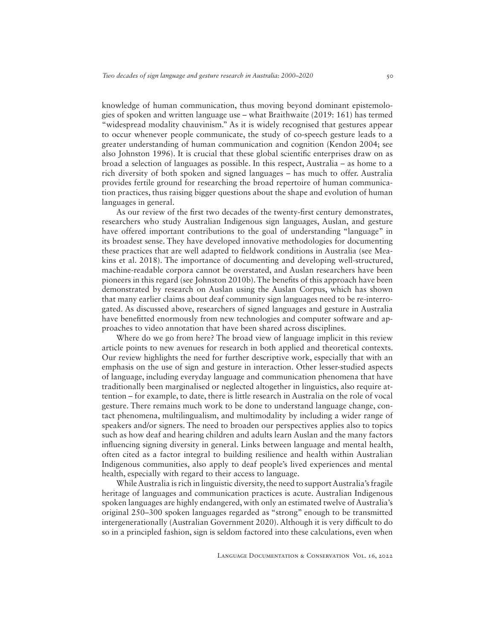knowledge of human communication, thus moving beyond dominant epistemologies of spoken and written language use – what Braithwaite (2019: 161) has termed "widespread modality chauvinism." As it is widely recognised that gestures appear to occur whenever people communicate, the study of co-speech gesture leads to a greater understanding of human communication and cognition (Kendon 2004; see also Johnston 1996). It is crucial that these global scientific enterprises draw on as broad a selection of languages as possible. In this respect, Australia – as home to a rich diversity of both spoken and signed languages – has much to offer. Australia provides fertile ground for researching the broad repertoire of human communication practices, thus raising bigger questions about the shape and evolution of human languages in general.

As our review of the first two decades of the twenty-first century demonstrates, researchers who study Australian Indigenous sign languages, Auslan, and gesture have offered important contributions to the goal of understanding "language" in its broadest sense. They have developed innovative methodologies for documenting these practices that are well adapted to fieldwork conditions in Australia (see Meakins et al. 2018). The importance of documenting and developing well-structured, machine-readable corpora cannot be overstated, and Auslan researchers have been pioneers in this regard (see Johnston 2010b). The benefits of this approach have been demonstrated by research on Auslan using the Auslan Corpus, which has shown that many earlier claims about deaf community sign languages need to be re-interrogated. As discussed above, researchers of signed languages and gesture in Australia have benefitted enormously from new technologies and computer software and approaches to video annotation that have been shared across disciplines.

Where do we go from here? The broad view of language implicit in this review article points to new avenues for research in both applied and theoretical contexts. Our review highlights the need for further descriptive work, especially that with an emphasis on the use of sign and gesture in interaction. Other lesser-studied aspects of language, including everyday language and communication phenomena that have traditionally been marginalised or neglected altogether in linguistics, also require attention – for example, to date, there is little research in Australia on the role of vocal gesture. There remains much work to be done to understand language change, contact phenomena, multilingualism, and multimodality by including a wider range of speakers and/or signers. The need to broaden our perspectives applies also to topics such as how deaf and hearing children and adults learn Auslan and the many factors influencing signing diversity in general. Links between language and mental health, often cited as a factor integral to building resilience and health within Australian Indigenous communities, also apply to deaf people's lived experiences and mental health, especially with regard to their access to language.

While Australia is rich in linguistic diversity, the need to support Australia's fragile heritage of languages and communication practices is acute. Australian Indigenous spoken languages are highly endangered, with only an estimated twelve of Australia's original 250–300 spoken languages regarded as "strong" enough to be transmitted intergenerationally (Australian Government 2020). Although it is very difficult to do so in a principled fashion, sign is seldom factored into these calculations, even when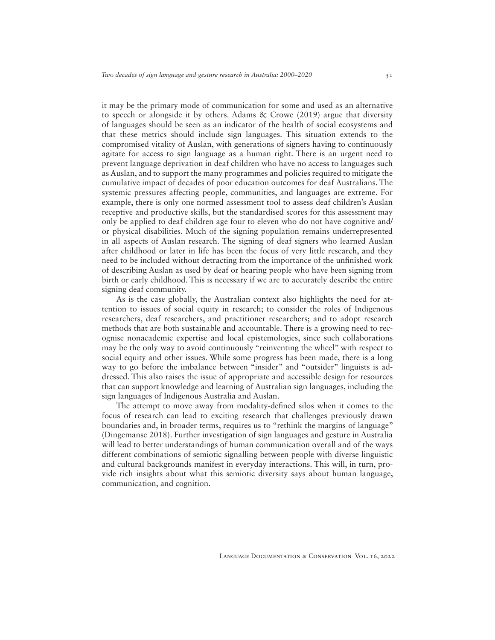it may be the primary mode of communication for some and used as an alternative to speech or alongside it by others. Adams & Crowe (2019) argue that diversity of languages should be seen as an indicator of the health of social ecosystems and that these metrics should include sign languages. This situation extends to the compromised vitality of Auslan, with generations of signers having to continuously agitate for access to sign language as a human right. There is an urgent need to prevent language deprivation in deaf children who have no access to languages such as Auslan, and to support the many programmes and policies required to mitigate the cumulative impact of decades of poor education outcomes for deaf Australians. The systemic pressures affecting people, communities, and languages are extreme. For example, there is only one normed assessment tool to assess deaf children's Auslan receptive and productive skills, but the standardised scores for this assessment may only be applied to deaf children age four to eleven who do not have cognitive and/ or physical disabilities. Much of the signing population remains underrepresented in all aspects of Auslan research. The signing of deaf signers who learned Auslan after childhood or later in life has been the focus of very little research, and they need to be included without detracting from the importance of the unfinished work of describing Auslan as used by deaf or hearing people who have been signing from birth or early childhood. This is necessary if we are to accurately describe the entire signing deaf community.

As is the case globally, the Australian context also highlights the need for attention to issues of social equity in research; to consider the roles of Indigenous researchers, deaf researchers, and practitioner researchers; and to adopt research methods that are both sustainable and accountable. There is a growing need to recognise nonacademic expertise and local epistemologies, since such collaborations may be the only way to avoid continuously "reinventing the wheel" with respect to social equity and other issues. While some progress has been made, there is a long way to go before the imbalance between "insider" and "outsider" linguists is addressed. This also raises the issue of appropriate and accessible design for resources that can support knowledge and learning of Australian sign languages, including the sign languages of Indigenous Australia and Auslan.

The attempt to move away from modality-defined silos when it comes to the focus of research can lead to exciting research that challenges previously drawn boundaries and, in broader terms, requires us to "rethink the margins of language" (Dingemanse 2018). Further investigation of sign languages and gesture in Australia will lead to better understandings of human communication overall and of the ways different combinations of semiotic signalling between people with diverse linguistic and cultural backgrounds manifest in everyday interactions. This will, in turn, provide rich insights about what this semiotic diversity says about human language, communication, and cognition.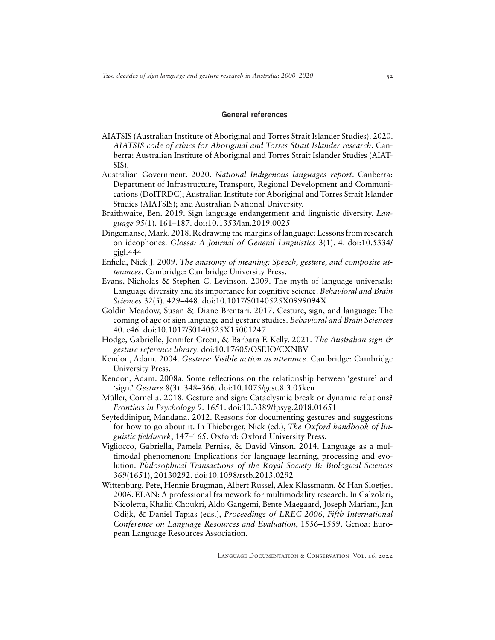## General references

- AIATSIS (Australian Institute of Aboriginal and Torres Strait Islander Studies). 2020. *AIATSIS code of ethics for Aboriginal and Torres Strait Islander research*. Canberra: Australian Institute of Aboriginal and Torres Strait Islander Studies (AIAT-SIS).
- Australian Government. 2020. *National Indigenous languages report*. Canberra: Department of Infrastructure, Transport, Regional Development and Communications (DoITRDC); Australian Institute for Aboriginal and Torres Strait Islander Studies (AIATSIS); and Australian National University.
- Braithwaite, Ben. 2019. Sign language endangerment and linguistic diversity. *Language* 95(1). 161–187. [doi:10.1353/lan.2019.0025](https://doi.org/10.1353/lan.2019.0025)
- Dingemanse, Mark. 2018. Redrawing the margins of language: Lessons from research on ideophones. *Glossa: A Journal of General Linguistics* 3(1). 4. [doi:10.5334/](https://doi.org/10.5334/gjgl.444)  $g$ jgl. 444
- Enfield, Nick J. 2009. *The anatomy of meaning: Speech, gesture, and composite utterances*. Cambridge: Cambridge University Press.
- Evans, Nicholas & Stephen C. Levinson. 2009. The myth of language universals: Language diversity and its importance for cognitive science. *Behavioral and Brain Sciences* 32(5). 429–448. [doi:10.1017/S0140525X0999094X](https://doi.org/10.1017/S0140525X0999094X)
- Goldin-Meadow, Susan & Diane Brentari. 2017. Gesture, sign, and language: The coming of age of sign language and gesture studies. *Behavioral and Brain Sciences* 40. e46. [doi:10.1017/S0140525X15001247](https://doi.org/10.1017/S0140525X15001247)
- Hodge, Gabrielle, Jennifer Green, & Barbara F. Kelly. 2021. *The Australian sign & gesture reference library*. [doi:10.17605/OSF.IO/CXNBV](http://doi.org/10.17605/OSF.IO/CXNBV)
- Kendon, Adam. 2004. *Gesture: Visible action as utterance*. Cambridge: Cambridge University Press.
- Kendon, Adam. 2008a. Some reflections on the relationship between 'gesture' and 'sign.' *Gesture* 8(3). 348–366. [doi:10.1075/gest.8.3.05ken](https://doi.org/10.1075/gest.8.3.05ken)
- Müller, Cornelia. 2018. Gesture and sign: Cataclysmic break or dynamic relations? *Frontiers in Psychology* 9. 1651. [doi:10.3389/fpsyg.2018.01651](https://doi.org/10.3389/fpsyg.2018.01651)
- Seyfeddinipur, Mandana. 2012. Reasons for documenting gestures and suggestions for how to go about it. In Thieberger, Nick (ed.), *The Oxford handbook of linguistic fieldwork*, 147–165. Oxford: Oxford University Press.
- Vigliocco, Gabriella, Pamela Perniss, & David Vinson. 2014. Language as a multimodal phenomenon: Implications for language learning, processing and evolution. *Philosophical Transactions of the Royal Society B: Biological Sciences* 369(1651), 20130292. [doi:10.1098/rstb.2013.0292](https://doi.org/10.1098/rstb.2013.0292)
- Wittenburg, Pete, Hennie Brugman, Albert Russel, Alex Klassmann, & Han Sloetjes. 2006. ELAN: A professional framework for multimodality research. In Calzolari, Nicoletta, Khalid Choukri, Aldo Gangemi, Bente Maegaard, Joseph Mariani, Jan Odijk, & Daniel Tapias (eds.), *Proceedings of LREC 2006, Fifth International Conference on Language Resources and Evaluation*, 1556–1559. Genoa: European Language Resources Association.

Language Documentation & Conservation Vol. 16, 2022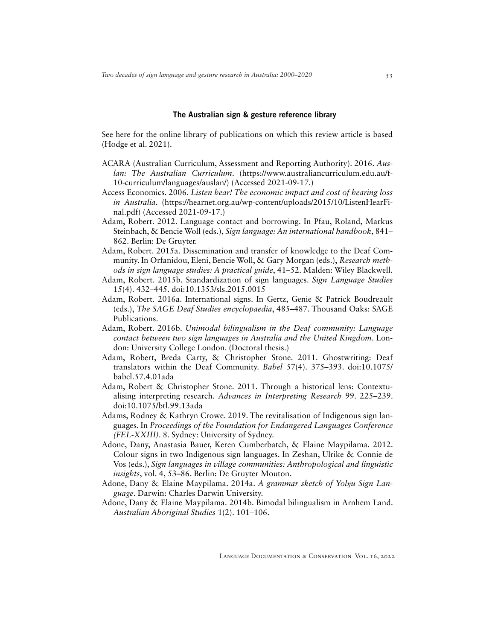## The Australian sign & gesture reference library

See [here](http://doi.org/10.17605/OSF.IO/CXNBV) for the online library of publications on which this review article is based (Hodge et al. 2021).

- ACARA (Australian Curriculum, Assessment and Reporting Authority). 2016. *Auslan: The Australian Curriculum*. ([https://www.australiancurriculum.edu.au/f-](https://www.australiancurriculum.edu.au/f-10-curriculum/languages/auslan/)[10-curriculum/languages/auslan/](https://www.australiancurriculum.edu.au/f-10-curriculum/languages/auslan/)) (Accessed 2021-09-17.)
- Access Economics. 2006. *Listen hear! The economic impact and cost of hearing loss in Australia*. ([https://hearnet.org.au/wp-content/uploads/2015/10/ListenHearFi](https://hearnet.org.au/wp-content/uploads/2015/10/ListenHearFinal.pdf)[nal.pdf\)](https://hearnet.org.au/wp-content/uploads/2015/10/ListenHearFinal.pdf) (Accessed 2021-09-17.)
- Adam, Robert. 2012. Language contact and borrowing. In Pfau, Roland, Markus Steinbach, & Bencie Woll (eds.), *Sign language: An international handbook*, 841– 862. Berlin: De Gruyter.
- Adam, Robert. 2015a. Dissemination and transfer of knowledge to the Deaf Community. In Orfanidou, Eleni, Bencie Woll, & Gary Morgan (eds.), *Research methods in sign language studies: A practical guide*, 41–52. Malden: Wiley Blackwell.
- Adam, Robert. 2015b. Standardization of sign languages. *Sign Language Studies* 15(4). 432–445. [doi:10.1353/sls.2015.0015](https://doi.org/10.1353/sls.2015.0015)
- Adam, Robert. 2016a. International signs. In Gertz, Genie & Patrick Boudreault (eds.), *The SAGE Deaf Studies encyclopaedia*, 485–487. Thousand Oaks: SAGE Publications.
- Adam, Robert. 2016b. *Unimodal bilingualism in the Deaf community: Language contact between two sign languages in Australia and the United Kingdom*. London: University College London. (Doctoral thesis.)
- Adam, Robert, Breda Carty, & Christopher Stone. 2011. Ghostwriting: Deaf translators within the Deaf Community. *Babel* 57(4). 375–393. [doi:10.1075/](http://dx.doi.org/10.1075/babel.57.4.01ada) [babel.57.4.01ada](http://dx.doi.org/10.1075/babel.57.4.01ada)
- Adam, Robert & Christopher Stone. 2011. Through a historical lens: Contextualising interpreting research. *Advances in Interpreting Research* 99. 225–239. [doi:10.1075/btl.99.13ada](https://doi.org/10.1075/btl.99.13ada)
- Adams, Rodney & Kathryn Crowe. 2019. The revitalisation of Indigenous sign languages. In *Proceedings of the Foundation for Endangered Languages Conference (FEL-XXIII)*. 8. Sydney: University of Sydney.
- Adone, Dany, Anastasia Bauer, Keren Cumberbatch, & Elaine Maypilama. 2012. Colour signs in two Indigenous sign languages. In Zeshan, Ulrike & Connie de Vos (eds.), *Sign languages in village communities: Anthropological and linguistic insights*, vol. 4, 53–86. Berlin: De Gruyter Mouton.
- Adone, Dany & Elaine Maypilama. 2014a. *A grammar sketch of Yolŋu Sign Language*. Darwin: Charles Darwin University.
- Adone, Dany & Elaine Maypilama. 2014b. Bimodal bilingualism in Arnhem Land. *Australian Aboriginal Studies* 1(2). 101–106.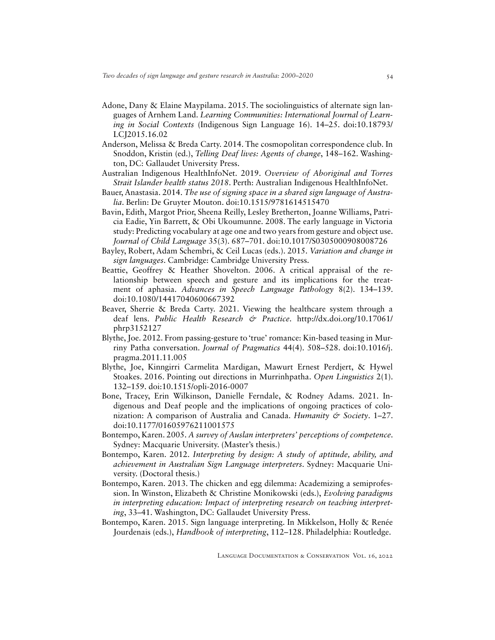- Adone, Dany & Elaine Maypilama. 2015. The sociolinguistics of alternate sign languages of Arnhem Land. *Learning Communities: International Journal of Learning in Social Contexts* (Indigenous Sign Language 16). 14–25. [doi:10.18793/](https://doi.org/10.18793/LCJ2015.16.02) [LCJ2015.16.02](https://doi.org/10.18793/LCJ2015.16.02)
- Anderson, Melissa & Breda Carty. 2014. The cosmopolitan correspondence club. In Snoddon, Kristin (ed.), *Telling Deaf lives: Agents of change*, 148–162. Washington, DC: Gallaudet University Press.
- Australian Indigenous HealthInfoNet. 2019. *Overview of Aboriginal and Torres Strait Islander health status 2018*. Perth: Australian Indigenous HealthInfoNet.
- Bauer, Anastasia. 2014. *The use of signing space in a shared sign language of Australia*. Berlin: De Gruyter Mouton. [doi:10.1515/9781614515470](https://doi.org/10.1515/9781614515470)
- Bavin, Edith, Margot Prior, Sheena Reilly, Lesley Bretherton, Joanne Williams, Patricia Eadie, Yin Barrett, & Obi Ukoumunne. 2008. The early language in Victoria study: Predicting vocabulary at age one and two years from gesture and object use. *Journal of Child Language* 35(3). 687–701. [doi:10.1017/S0305000908008726](https://doi.org/10.1017/S0305000908008726)
- Bayley, Robert, Adam Schembri, & Ceil Lucas (eds.). 2015. *Variation and change in sign languages*. Cambridge: Cambridge University Press.
- Beattie, Geoffrey & Heather Shovelton. 2006. A critical appraisal of the relationship between speech and gesture and its implications for the treatment of aphasia. *Advances in Speech Language Pathology* 8(2). 134–139. [doi:10.1080/14417040600667392](https://doi.org/10.1080/14417040600667392)
- Beaver, Sherrie & Breda Carty. 2021. Viewing the healthcare system through a deaf lens. *Public Health Research & Practice*. [http://dx.doi.org/10.17061/](http://dx.doi.org/10.17061/phrp3152127) [phrp3152127](http://dx.doi.org/10.17061/phrp3152127)
- Blythe, Joe. 2012. From passing-gesture to 'true' romance: Kin-based teasing in Murriny Patha conversation. *Journal of Pragmatics* 44(4). 508–528. [doi:10.1016/j.](https://doi.org/10.1016/j.pragma.2011.11.005) [pragma.2011.11.005](https://doi.org/10.1016/j.pragma.2011.11.005)
- Blythe, Joe, Kinngirri Carmelita Mardigan, Mawurt Ernest Perdjert, & Hywel Stoakes. 2016. Pointing out directions in Murrinhpatha. *Open Linguistics* 2(1). 132–159. [doi:10.1515/opli-2016-0007](https://doi.org/10.1515/opli-2016-0007)
- Bone, Tracey, Erin Wilkinson, Danielle Ferndale, & Rodney Adams. 2021. Indigenous and Deaf people and the implications of ongoing practices of colonization: A comparison of Australia and Canada. *Humanity & Society*. 1–27. [doi:10.1177/01605976211001575](https://doi.org/10.1177/01605976211001575)
- Bontempo, Karen. 2005. *A survey of Auslan interpreters' perceptions of competence*. Sydney: Macquarie University. (Master's thesis.)
- Bontempo, Karen. 2012. *Interpreting by design: A study of aptitude, ability, and achievement in Australian Sign Language interpreters*. Sydney: Macquarie University. (Doctoral thesis.)
- Bontempo, Karen. 2013. The chicken and egg dilemma: Academizing a semiprofession. In Winston, Elizabeth & Christine Monikowski (eds.), *Evolving paradigms in interpreting education: Impact of interpreting research on teaching interpreting*, 33–41. Washington, DC: Gallaudet University Press.
- Bontempo, Karen. 2015. Sign language interpreting. In Mikkelson, Holly & Renée Jourdenais (eds.), *Handbook of interpreting*, 112–128. Philadelphia: Routledge.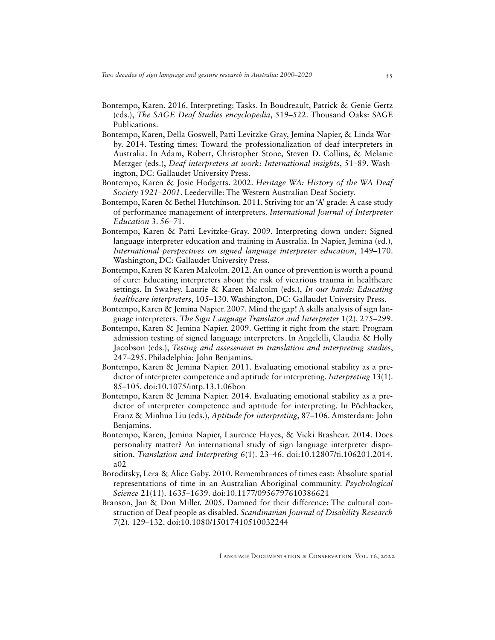- Bontempo, Karen. 2016. Interpreting: Tasks. In Boudreault, Patrick & Genie Gertz (eds.), *The SAGE Deaf Studies encyclopedia*, 519–522. Thousand Oaks: SAGE Publications.
- Bontempo, Karen, Della Goswell, Patti Levitzke-Gray, Jemina Napier, & Linda Warby. 2014. Testing times: Toward the professionalization of deaf interpreters in Australia. In Adam, Robert, Christopher Stone, Steven D. Collins, & Melanie Metzger (eds.), *Deaf interpreters at work: International insights*, 51–89. Washington, DC: Gallaudet University Press.
- Bontempo, Karen & Josie Hodgetts. 2002. *Heritage WA: History of the WA Deaf Society 1921–2001*. Leederville: The Western Australian Deaf Society.
- Bontempo, Karen & Bethel Hutchinson. 2011. Striving for an 'A' grade: A case study of performance management of interpreters. *International Journal of Interpreter Education* 3. 56–71.
- Bontempo, Karen & Patti Levitzke-Gray. 2009. Interpreting down under: Signed language interpreter education and training in Australia. In Napier, Jemina (ed.), *International perspectives on signed language interpreter education*, 149–170. Washington, DC: Gallaudet University Press.
- Bontempo, Karen & Karen Malcolm. 2012. An ounce of prevention is worth a pound of cure: Educating interpreters about the risk of vicarious trauma in healthcare settings. In Swabey, Laurie & Karen Malcolm (eds.), *In our hands: Educating healthcare interpreters*, 105–130. Washington, DC: Gallaudet University Press.
- Bontempo, Karen & Jemina Napier. 2007. Mind the gap! A skills analysis of sign language interpreters. *The Sign Language Translator and Interpreter* 1(2). 275–299.
- Bontempo, Karen & Jemina Napier. 2009. Getting it right from the start: Program admission testing of signed language interpreters. In Angelelli, Claudia & Holly Jacobson (eds.), *Testing and assessment in translation and interpreting studies*, 247–295. Philadelphia: John Benjamins.
- Bontempo, Karen & Jemina Napier. 2011. Evaluating emotional stability as a predictor of interpreter competence and aptitude for interpreting. *Interpreting* 13(1). 85–105. [doi:10.1075/intp.13.1.06bon](https://doi.org/10.1075/intp.13.1.06bon)
- Bontempo, Karen & Jemina Napier. 2014. Evaluating emotional stability as a predictor of interpreter competence and aptitude for interpreting. In Pöchhacker, Franz & Minhua Liu (eds.), *Aptitude for interpreting*, 87–106. Amsterdam: John Benjamins.
- Bontempo, Karen, Jemina Napier, Laurence Hayes, & Vicki Brashear. 2014. Does personality matter? An international study of sign language interpreter disposition. *Translation and Interpreting* 6(1). 23–46. [doi:10.12807/ti.106201.2014.](https://doi.org/10.12807/ti.106201.2014.a02) [a02](https://doi.org/10.12807/ti.106201.2014.a02)
- Boroditsky, Lera & Alice Gaby. 2010. Remembrances of times east: Absolute spatial representations of time in an Australian Aboriginal community. *Psychological Science* 21(11). 1635–1639. [doi:10.1177/0956797610386621](https://doi.org/10.1177/0956797610386621)
- Branson, Jan & Don Miller. 2005. Damned for their difference: The cultural construction of Deaf people as disabled. *Scandinavian Journal of Disability Research* 7(2). 129–132. [doi:10.1080/15017410510032244](http://doi.org/10.1080/15017410510032244)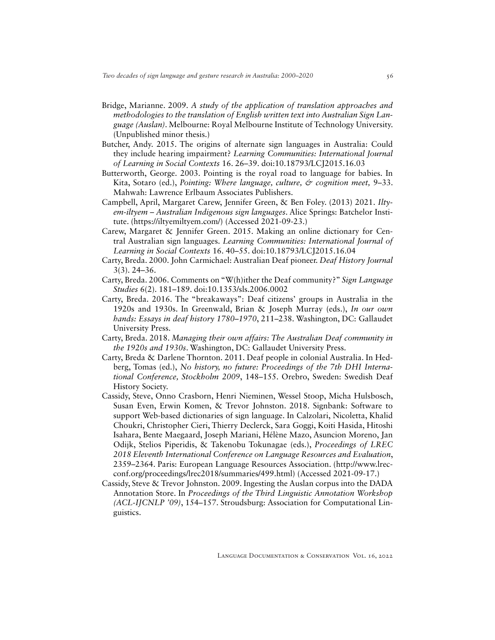- Bridge, Marianne. 2009. *A study of the application of translation approaches and methodologies to the translation of English written text into Australian Sign Language (Auslan)*. Melbourne: Royal Melbourne Institute of Technology University. (Unpublished minor thesis.)
- Butcher, Andy. 2015. The origins of alternate sign languages in Australia: Could they include hearing impairment? *Learning Communities: International Journal of Learning in Social Contexts* 16. 26–39. [doi:10.18793/LCJ2015.16.03](http://doi.org/10.18793/LCJ2015.16.03)
- Butterworth, George. 2003. Pointing is the royal road to language for babies. In Kita, Sotaro (ed.), *Pointing: Where language, culture, & cognition meet,* 9–33. Mahwah: Lawrence Erlbaum Associates Publishers.
- Campbell, April, Margaret Carew, Jennifer Green, & Ben Foley. (2013) 2021. *Iltyem-iltyem – Australian Indigenous sign languages*. Alice Springs: Batchelor Institute. [\(https://iltyemiltyem.com/\)](https://iltyemiltyem.com/) (Accessed 2021-09-23.)
- Carew, Margaret & Jennifer Green. 2015. Making an online dictionary for Central Australian sign languages. *Learning Communities: International Journal of Learning in Social Contexts* 16. 40–55. [doi:10.18793/LCJ2015.16.04](http://doi.org/10.18793/LCJ2015.16.04)
- Carty, Breda. 2000. John Carmichael: Australian Deaf pioneer. *Deaf History Journal* 3(3). 24–36.
- Carty, Breda. 2006. Comments on "W(h)ither the Deaf community?" *Sign Language Studies* 6(2). 181–189. [doi:10.1353/sls.2006.0002](https://doi.org/10.1353/sls.2006.0002)
- Carty, Breda. 2016. The "breakaways": Deaf citizens' groups in Australia in the 1920s and 1930s. In Greenwald, Brian & Joseph Murray (eds.), *In our own hands: Essays in deaf history 1780–1970*, 211–238. Washington, DC: Gallaudet University Press.
- Carty, Breda. 2018. *Managing their own affairs: The Australian Deaf community in the 1920s and 1930s*. Washington, DC: Gallaudet University Press.
- Carty, Breda & Darlene Thornton. 2011. Deaf people in colonial Australia. In Hedberg, Tomas (ed.), *No history, no future: Proceedings of the 7th DHI International Conference, Stockholm 2009*, 148–155. Orebro, Sweden: Swedish Deaf History Society.
- Cassidy, Steve, Onno Crasborn, Henri Nieminen, Wessel Stoop, Micha Hulsbosch, Susan Even, Erwin Komen, & Trevor Johnston. 2018. Signbank: Software to support Web-based dictionaries of sign language. In Calzolari, Nicoletta, Khalid Choukri, Christopher Cieri, Thierry Declerck, Sara Goggi, Koiti Hasida, Hitoshi Isahara, Bente Maegaard, Joseph Mariani, Hélène Mazo, Asuncion Moreno, Jan Odijk, Stelios Piperidis, & Takenobu Tokunagae (eds.), *Proceedings of LREC 2018 Eleventh International Conference on Language Resources and Evaluation*, 2359–2364. Paris: European Language Resources Association. ([http://www.lrec](http://www.lrec-conf.org/proceedings/lrec2018/summaries/499.html)[conf.org/proceedings/lrec2018/summaries/499.html\)](http://www.lrec-conf.org/proceedings/lrec2018/summaries/499.html) (Accessed 2021-09-17.)
- Cassidy, Steve & Trevor Johnston. 2009. Ingesting the Auslan corpus into the DADA Annotation Store. In *Proceedings of the Third Linguistic Annotation Workshop (ACL-IJCNLP '09)*, 154–157. Stroudsburg: Association for Computational Linguistics.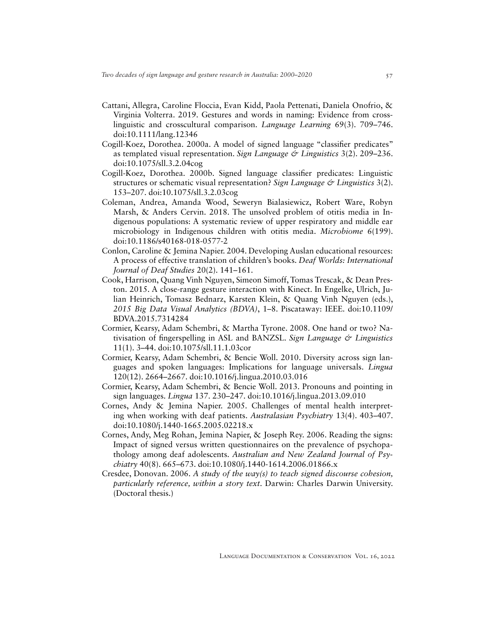- Cattani, Allegra, Caroline Floccia, Evan Kidd, Paola Pettenati, Daniela Onofrio, & Virginia Volterra. 2019. Gestures and words in naming: Evidence from crosslinguistic and crosscultural comparison. *Language Learning* 69(3). 709–746. [doi:10.1111/lang.12346](https://doi.org/10.1111/lang.12346)
- Cogill-Koez, Dorothea. 2000a. A model of signed language "classifier predicates" as templated visual representation. *Sign Language & Linguistics* 3(2). 209–236. [doi:10.1075/sll.3.2.04cog](https://doi.org/10.1075/sll.3.2.04cog)
- Cogill-Koez, Dorothea. 2000b. Signed language classifier predicates: Linguistic structures or schematic visual representation? *Sign Language & Linguistics* 3(2). 153–207. [doi:10.1075/sll.3.2.03cog](https://doi.org/10.1075/sll.3.2.03cog)
- Coleman, Andrea, Amanda Wood, Seweryn Bialasiewicz, Robert Ware, Robyn Marsh, & Anders Cervin. 2018. The unsolved problem of otitis media in Indigenous populations: A systematic review of upper respiratory and middle ear microbiology in Indigenous children with otitis media. *Microbiome* 6(199). [doi:10.1186/s40168-018-0577-2](https://doi.org/10.1186/s40168-018-0577-2)
- Conlon, Caroline & Jemina Napier. 2004. Developing Auslan educational resources: A process of effective translation of children's books. *Deaf Worlds: International Journal of Deaf Studies* 20(2). 141–161.
- Cook, Harrison, Quang Vinh Nguyen, Simeon Simoff, Tomas Trescak, & Dean Preston. 2015. A close-range gesture interaction with Kinect. In Engelke, Ulrich, Julian Heinrich, Tomasz Bednarz, Karsten Klein, & Quang Vinh Nguyen (eds.), *2015 Big Data Visual Analytics (BDVA)*, 1–8. Piscataway: IEEE. [doi:10.1109/](https://doi.org/10.1109/BDVA.2015.7314284) [BDVA.2015.7314284](https://doi.org/10.1109/BDVA.2015.7314284)
- Cormier, Kearsy, Adam Schembri, & Martha Tyrone. 2008. One hand or two? Nativisation of fingerspelling in ASL and BANZSL. *Sign Language & Linguistics* 11(1). 3–44. [doi:10.1075/sll.11.1.03cor](https://doi.org/10.1075/sll.11.1.03cor)
- Cormier, Kearsy, Adam Schembri, & Bencie Woll. 2010. Diversity across sign languages and spoken languages: Implications for language universals. *Lingua* 120(12). 2664–2667. [doi:10.1016/j.lingua.2010.03.016](https://doi.org/10.1016/j.lingua.2010.03.016)
- Cormier, Kearsy, Adam Schembri, & Bencie Woll. 2013. Pronouns and pointing in sign languages. *Lingua* 137. 230–247. [doi:10.1016/j.lingua.2013.09.010](https://doi.org/10.1016/j.lingua.2013.09.010)
- Cornes, Andy & Jemina Napier. 2005. Challenges of mental health interpreting when working with deaf patients. *Australasian Psychiatry* 13(4). 403–407. [doi:10.1080/j.1440-1665.2005.02218.x](https://doi.org/10.1080/j.1440-1665.2005.02218.x)
- Cornes, Andy, Meg Rohan, Jemina Napier, & Joseph Rey. 2006. Reading the signs: Impact of signed versus written questionnaires on the prevalence of psychopathology among deaf adolescents. *Australian and New Zealand Journal of Psychiatry* 40(8). 665–673. [doi:10.1080/j.1440-1614.2006.01866.x](https://doi.org/10.1080/j.1440-1614.2006.01866.x)
- Cresdee, Donovan. 2006. *A study of the way(s) to teach signed discourse cohesion, particularly reference, within a story text*. Darwin: Charles Darwin University. (Doctoral thesis.)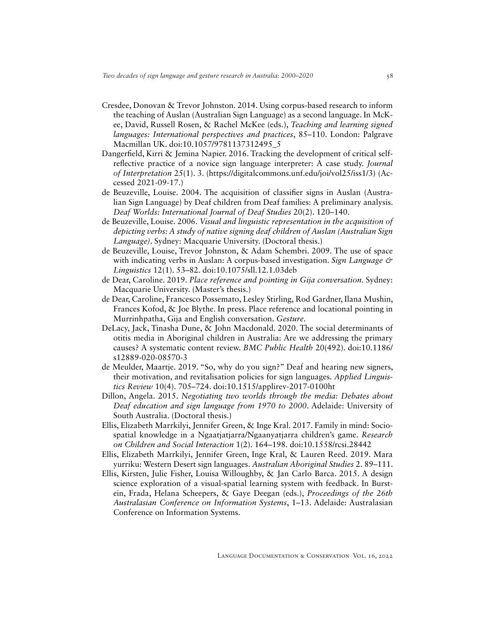- Cresdee, Donovan & Trevor Johnston. 2014. Using corpus-based research to inform the teaching of Auslan (Australian Sign Language) as a second language. In McKee, David, Russell Rosen, & Rachel McKee (eds.), *Teaching and learning signed languages: International perspectives and practices*, 85–110. London: Palgrave Macmillan UK. [doi:10.1057/9781137312495\\_5](https://doi.org/10.1057/9781137312495_5)
- Dangerfield, Kirri & Jemina Napier. 2016. Tracking the development of critical selfreflective practice of a novice sign language interpreter: A case study. *Journal of Interpretation* 25(1). 3. (<https://digitalcommons.unf.edu/joi/vol25/iss1/3>) (Accessed 2021-09-17.)
- de Beuzeville, Louise. 2004. The acquisition of classifier signs in Auslan (Australian Sign Language) by Deaf children from Deaf families: A preliminary analysis. *Deaf Worlds: International Journal of Deaf Studies* 20(2). 120–140.
- de Beuzeville, Louise. 2006. *Visual and linguistic representation in the acquisition of depicting verbs: A study of native signing deaf children of Auslan (Australian Sign Language)*. Sydney: Macquarie University. (Doctoral thesis.)
- de Beuzeville, Louise, Trevor Johnston, & Adam Schembri. 2009. The use of space with indicating verbs in Auslan: A corpus-based investigation. *Sign Language & Linguistics* 12(1). 53–82. [doi:10.1075/sll.12.1.03deb](https://doi.org/10.1075/sll.12.1.03deb)
- de Dear, Caroline. 2019. *Place reference and pointing in Gija conversation.* Sydney: Macquarie University. (Master's thesis.)
- de Dear, Caroline, Francesco Possemato, Lesley Stirling, Rod Gardner, Ilana Mushin, Frances Kofod, & Joe Blythe. In press. Place reference and locational pointing in Murrinhpatha, Gija and English conversation. *Gesture*.
- DeLacy, Jack, Tinasha Dune, & John Macdonald. 2020. The social determinants of otitis media in Aboriginal children in Australia: Are we addressing the primary causes? A systematic content review. *BMC Public Health* 20(492). [doi:10.1186/](https://doi.org/doi:10.1186/s12889-020-08570-3) [s12889-020-08570-3](https://doi.org/doi:10.1186/s12889-020-08570-3)
- de Meulder, Maartje. 2019. "So, why do you sign?" Deaf and hearing new signers, their motivation, and revitalisation policies for sign languages. *Applied Linguistics Review* 10(4). 705–724. [doi:10.1515/applirev-2017-0100ht](https://doi.org/10.1515/applirev-2017-0100)
- Dillon, Angela. 2015. *Negotiating two worlds through the media: Debates about Deaf education and sign language from 1970 to 2000*. Adelaide: University of South Australia. (Doctoral thesis.)
- Ellis, Elizabeth Marrkilyi, Jennifer Green, & Inge Kral. 2017. Family in mind: Sociospatial knowledge in a Ngaatjatjarra/Ngaanyatjarra children's game. *Research on Children and Social Interaction* 1(2). 164–198. [doi:10.1558/rcsi.28442](https://doi.org/10.1558/rcsi.28442)
- Ellis, Elizabeth Marrkilyi, Jennifer Green, Inge Kral, & Lauren Reed. 2019. Mara yurriku: Western Desert sign languages. *Australian Aboriginal Studies* 2. 89–111.
- Ellis, Kirsten, Julie Fisher, Louisa Willoughby, & Jan Carlo Barca. 2015. A design science exploration of a visual-spatial learning system with feedback. In Burstein, Frada, Helana Scheepers, & Gaye Deegan (eds.), *Proceedings of the 26th Australasian Conference on Information Systems*, 1–13. Adelaide: Australasian Conference on Information Systems.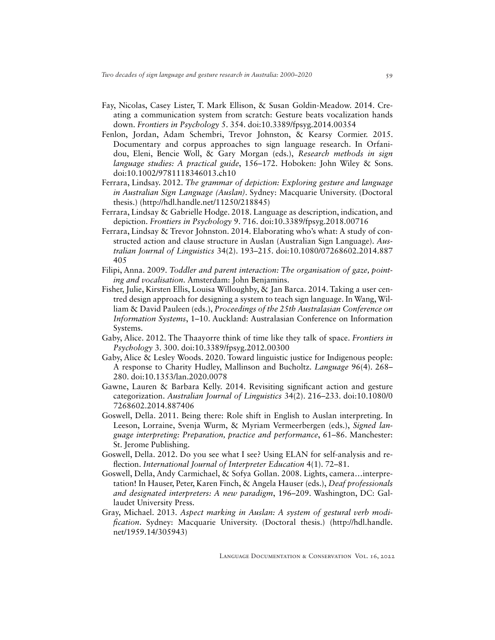- Fay, Nicolas, Casey Lister, T. Mark Ellison, & Susan Goldin-Meadow. 2014. Creating a communication system from scratch: Gesture beats vocalization hands down. *Frontiers in Psychology* 5. 354. [doi:10.3389/fpsyg.2014.00354](https://doi.org/10.3389/fpsyg.2014.00354)
- Fenlon, Jordan, Adam Schembri, Trevor Johnston, & Kearsy Cormier. 2015. Documentary and corpus approaches to sign language research. In Orfanidou, Eleni, Bencie Woll, & Gary Morgan (eds.), *Research methods in sign language studies: A practical guide*, 156–172. Hoboken: John Wiley & Sons. [doi:10.1002/9781118346013.ch10](https://doi.org/10.1002/9781118346013.ch10)
- Ferrara, Lindsay. 2012. *The grammar of depiction: Exploring gesture and language in Australian Sign Language (Auslan)*. Sydney: Macquarie University. (Doctoral thesis.) [\(http://hdl.handle.net/11250/218845\)](http://hdl.handle.net/11250/218845)
- Ferrara, Lindsay & Gabrielle Hodge. 2018. Language as description, indication, and depiction. *Frontiers in Psychology* 9. 716. [doi:10.3389/fpsyg.2018.00716](https://doi.org/10.3389/fpsyg.2018.00716)
- Ferrara, Lindsay & Trevor Johnston. 2014. Elaborating who's what: A study of constructed action and clause structure in Auslan (Australian Sign Language). *Australian Journal of Linguistics* 34(2). 193–215. [doi:10.1080/07268602.2014.887](https://doi.org/10.1080/07268602.2014.887405) [405](https://doi.org/10.1080/07268602.2014.887405)
- Filipi, Anna. 2009. *Toddler and parent interaction: The organisation of gaze, pointing and vocalisation.* Amsterdam: John Benjamins.
- Fisher, Julie, Kirsten Ellis, Louisa Willoughby, & Jan Barca. 2014. Taking a user centred design approach for designing a system to teach sign language. In Wang, William & David Pauleen (eds.), *Proceedings of the 25th Australasian Conference on Information Systems*, 1–10. Auckland: Australasian Conference on Information Systems.
- Gaby, Alice. 2012. The Thaayorre think of time like they talk of space. *Frontiers in Psychology* 3. 300. [doi:10.3389/fpsyg.2012.00300](https://doi.org/10.3389/fpsyg.2012.00300)
- Gaby, Alice & Lesley Woods. 2020. Toward linguistic justice for Indigenous people: A response to Charity Hudley, Mallinson and Bucholtz. *Language* 96(4). 268– 280. [doi:10.1353/lan.2020.0078](https://doi.org/10.1353/lan.2020.0078)
- Gawne, Lauren & Barbara Kelly. 2014. Revisiting significant action and gesture categorization. *Australian Journal of Linguistics* 34(2). 216–233. [doi:10.1080/0](https://doi.org/10.1080/07268602.2014.887406) [7268602.2014.887406](https://doi.org/10.1080/07268602.2014.887406)
- Goswell, Della. 2011. Being there: Role shift in English to Auslan interpreting. In Leeson, Lorraine, Svenja Wurm, & Myriam Vermeerbergen (eds.), *Signed language interpreting: Preparation, practice and performance*, 61–86. Manchester: St. Jerome Publishing.
- Goswell, Della. 2012. Do you see what I see? Using ELAN for self-analysis and reflection. *International Journal of Interpreter Education* 4(1). 72–81.
- Goswell, Della, Andy Carmichael, & Sofya Gollan. 2008. Lights, camera…interpretation! In Hauser, Peter, Karen Finch, & Angela Hauser (eds.), *Deaf professionals and designated interpreters: A new paradigm*, 196–209. Washington, DC: Gallaudet University Press.
- Gray, Michael. 2013. *Aspect marking in Auslan: A system of gestural verb modification*. Sydney: Macquarie University. (Doctoral thesis.) ([http://hdl.handle.](http://hdl.handle.net/1959.14/305943) [net/1959.14/305943\)](http://hdl.handle.net/1959.14/305943)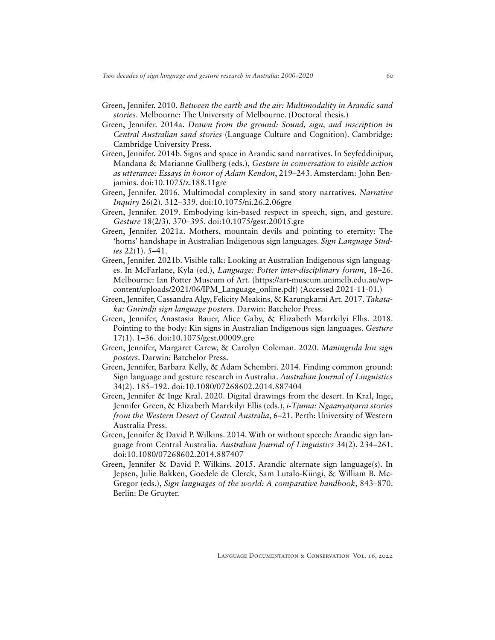- Green, Jennifer. 2010. *Between the earth and the air: Multimodality in Arandic sand stories*. Melbourne: The University of Melbourne. (Doctoral thesis.)
- Green, Jennifer. 2014a. *Drawn from the ground: Sound, sign, and inscription in Central Australian sand stories* (Language Culture and Cognition). Cambridge: Cambridge University Press.
- Green, Jennifer. 2014b. Signs and space in Arandic sand narratives. In Seyfeddinipur, Mandana & Marianne Gullberg (eds.), *Gesture in conversation to visible action as utterance: Essays in honor of Adam Kendon*, 219–243. Amsterdam: John Benjamins. [doi:10.1075/z.188.11gre](https://doi.org/10.1075/z.188.11gre)
- Green, Jennifer. 2016. Multimodal complexity in sand story narratives. *Narrative Inquiry* 26(2). 312–339. [doi:10.1075/ni.26.2.06gre](https://doi.org/10.1075/ni.26.2.06gre)
- Green, Jennifer. 2019. Embodying kin-based respect in speech, sign, and gesture. *Gesture* 18(2/3). 370–395. [doi:10.1075/gest.20015.gre](https://doi.org/10.1075/gest.20015.gre)
- Green, Jennifer. 2021a. Mothers, mountain devils and pointing to eternity: The 'horns' handshape in Australian Indigenous sign languages. *Sign Language Studies* 22(1). 5–41.
- Green, Jennifer. 2021b. Visible talk: Looking at Australian Indigenous sign languages. In McFarlane, Kyla (ed.), *Language: Potter inter-disciplinary forum*, 18–26. Melbourne: Ian Potter Museum of Art. [\(https://art-museum.unimelb.edu.au/wp](https://art-museum.unimelb.edu.au/wp-content/uploads/2021/06/IPM_Language_online.pdf)[content/uploads/2021/06/IPM\\_Language\\_online.pdf](https://art-museum.unimelb.edu.au/wp-content/uploads/2021/06/IPM_Language_online.pdf)) (Accessed 2021-11-01.)
- Green, Jennifer, Cassandra Algy, Felicity Meakins, & Karungkarni Art. 2017. *Takataka: Gurindji sign language posters*. Darwin: Batchelor Press.
- Green, Jennifer, Anastasia Bauer, Alice Gaby, & Elizabeth Marrkilyi Ellis. 2018. Pointing to the body: Kin signs in Australian Indigenous sign languages. *Gesture* 17(1). 1–36. [doi:10.1075/gest.00009.gre](https://doi.org/10.1075/gest.00009.gre)
- Green, Jennifer, Margaret Carew, & Carolyn Coleman. 2020. *Maningrida kin sign posters*. Darwin: Batchelor Press.
- Green, Jennifer, Barbara Kelly, & Adam Schembri. 2014. Finding common ground: Sign language and gesture research in Australia. *Australian Journal of Linguistics* 34(2). 185–192. [doi:10.1080/07268602.2014.887404](https://doi.org/10.1080/07268602.2014.887404)
- Green, Jennifer & Inge Kral. 2020. Digital drawings from the desert. In Kral, Inge, Jennifer Green, & Elizabeth Marrkilyi Ellis (eds.), *i-Tjuma: Ngaanyatjarra stories from the Western Desert of Central Australia*, 6–21. Perth: University of Western Australia Press.
- Green, Jennifer & David P. Wilkins. 2014. With or without speech: Arandic sign language from Central Australia. *Australian Journal of Linguistics* 34(2). 234–261. [doi:10.1080/07268602.2014.887407](https://doi.org/10.1080/07268602.2014.887407)
- Green, Jennifer & David P. Wilkins. 2015. Arandic alternate sign language(s). In Jepsen, Julie Bakken, Goedele de Clerck, Sam Lutalo-Kiingi, & William B. Mc-Gregor (eds.), *Sign languages of the world: A comparative handbook*, 843–870. Berlin: De Gruyter.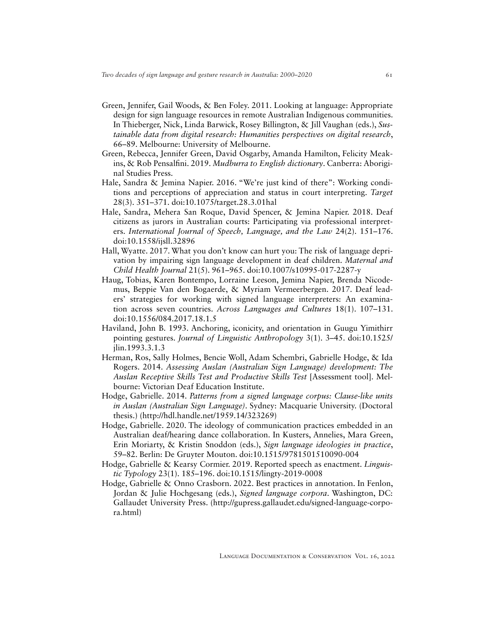- Green, Jennifer, Gail Woods, & Ben Foley. 2011. Looking at language: Appropriate design for sign language resources in remote Australian Indigenous communities. In Thieberger, Nick, Linda Barwick, Rosey Billington, & Jill Vaughan (eds.), *Sustainable data from digital research: Humanities perspectives on digital research*, 66–89. Melbourne: University of Melbourne.
- Green, Rebecca, Jennifer Green, David Osgarby, Amanda Hamilton, Felicity Meakins, & Rob Pensalfini. 2019. *Mudburra to English dictionary*. Canberra: Aboriginal Studies Press.
- Hale, Sandra & Jemina Napier. 2016. "We're just kind of there": Working conditions and perceptions of appreciation and status in court interpreting. *Target* 28(3). 351–371. [doi:10.1075/target.28.3.01hal](https://doi.org/10.1075/target.28.3.01hal)
- Hale, Sandra, Mehera San Roque, David Spencer, & Jemina Napier. 2018. Deaf citizens as jurors in Australian courts: Participating via professional interpreters. *International Journal of Speech, Language, and the Law* 24(2). 151–176. [doi:10.1558/ijsll.32896](https://doi.org/10.1558/ijsll.32896)
- Hall, Wyatte. 2017. What you don't know can hurt you: The risk of language deprivation by impairing sign language development in deaf children. *Maternal and Child Health Journal* 21(5). 961–965. [doi:10.1007/s10995-017-2287-y](https://doi.org/10.1007/s10995-017-2287-y)
- Haug, Tobias, Karen Bontempo, Lorraine Leeson, Jemina Napier, Brenda Nicodemus, Beppie Van den Bogaerde, & Myriam Vermeerbergen. 2017. Deaf leaders' strategies for working with signed language interpreters: An examination across seven countries. *Across Languages and Cultures* 18(1). 107–131. [doi:10.1556/084.2017.18.1.5](https://doi.org/10.1556/084.2017.18.1.5)
- Haviland, John B. 1993. Anchoring, iconicity, and orientation in Guugu Yimithirr pointing gestures. *Journal of Linguistic Anthropology* 3(1). 3–45. [doi:10.1525/](https://doi.org/10.1525/jlin.1993.3.1.3) [jlin.1993.3.1.3](https://doi.org/10.1525/jlin.1993.3.1.3)
- Herman, Ros, Sally Holmes, Bencie Woll, Adam Schembri, Gabrielle Hodge, & Ida Rogers. 2014. *Assessing Auslan (Australian Sign Language) development: The Auslan Receptive Skills Test and Productive Skills Test* [Assessment tool]. Melbourne: Victorian Deaf Education Institute.
- Hodge, Gabrielle. 2014. *Patterns from a signed language corpus: Clause-like units in Auslan (Australian Sign Language)*. Sydney: Macquarie University. (Doctoral thesis.) [\(http://hdl.handle.net/1959.14/323269](http://hdl.handle.net/1959.14/323269))
- Hodge, Gabrielle. 2020. The ideology of communication practices embedded in an Australian deaf/hearing dance collaboration. In Kusters, Annelies, Mara Green, Erin Moriarty, & Kristin Snoddon (eds.), *Sign language ideologies in practice*, 59–82. Berlin: De Gruyter Mouton. [doi:10.1515/9781501510090-004](https://doi.org/10.1515/9781501510090-004)
- Hodge, Gabrielle & Kearsy Cormier. 2019. Reported speech as enactment. *Linguistic Typology* 23(1). 185–196. [doi:10.1515/lingty-2019-0008](https://doi.org/10.1515/lingty-2019-0008)
- Hodge, Gabrielle & Onno Crasborn. 2022. Best practices in annotation. In Fenlon, Jordan & Julie Hochgesang (eds.), *Signed language corpora*. Washington, DC: Gallaudet University Press. ([http://gupress.gallaudet.edu/signed-language-corpo](http://gupress.gallaudet.edu/signed-language-corpora.html)[ra.html\)](http://gupress.gallaudet.edu/signed-language-corpora.html)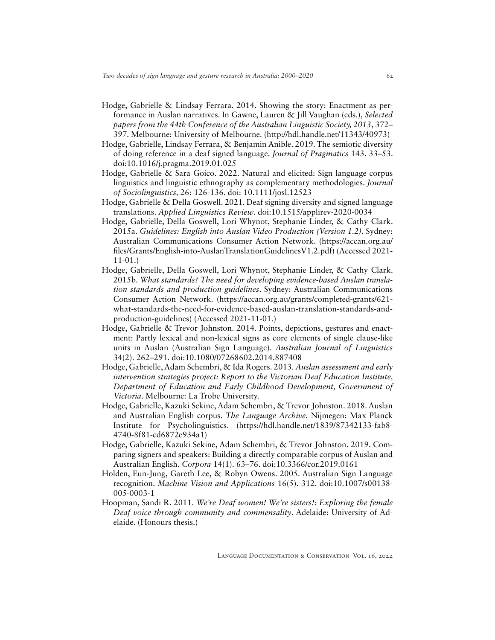- Hodge, Gabrielle & Lindsay Ferrara. 2014. Showing the story: Enactment as performance in Auslan narratives. In Gawne, Lauren & Jill Vaughan (eds.), *Selected papers from the 44th Conference of the Australian Linguistic Society, 2013*, 372– 397. Melbourne: University of Melbourne. [\(http://hdl.handle.net/11343/40973](http://hdl.handle.net/11343/40973))
- Hodge, Gabrielle, Lindsay Ferrara, & Benjamin Anible. 2019. The semiotic diversity of doing reference in a deaf signed language. *Journal of Pragmatics* 143. 33–53. [doi:10.1016/j.pragma.2019.01.025](https://doi.org/10.1016/j.pragma.2019.01.025)
- Hodge, Gabrielle & Sara Goico. 2022. Natural and elicited: Sign language corpus linguistics and linguistic ethnography as complementary methodologies. *Journal of Sociolinguistics,* 26: 126-136. [doi: 10.1111/josl.12523](https://doi.org/10.1111/josl.12523)
- Hodge, Gabrielle & Della Goswell. 2021. Deaf signing diversity and signed language translations. *Applied Linguistics Review*. [doi:10.1515/applirev-2020-0034](https://doi.org/10.1515/applirev-2020-0034)
- Hodge, Gabrielle, Della Goswell, Lori Whynot, Stephanie Linder, & Cathy Clark. 2015a. *Guidelines: English into Auslan Video Production (Version 1.2)*. Sydney: Australian Communications Consumer Action Network. [\(https://accan.org.au/](https://accan.org.au/files/Grants/English-into-AuslanTranslationGuidelinesV1.2.pdf) [files/Grants/English-into-AuslanTranslationGuidelinesV1.2.pdf\)](https://accan.org.au/files/Grants/English-into-AuslanTranslationGuidelinesV1.2.pdf) (Accessed 2021- 11-01.)
- Hodge, Gabrielle, Della Goswell, Lori Whynot, Stephanie Linder, & Cathy Clark. 2015b. *What standards? The need for developing evidence-based Auslan translation standards and production guidelines*. Sydney: Australian Communications Consumer Action Network. ([https://accan.org.au/grants/completed-grants/621](https://accan.org.au/grants/completed-grants/621-what-standards-the-need-for-evidence-based-auslan-translation-standards-and-production-guidelines) [what-standards-the-need-for-evidence-based-auslan-translation-standards-and](https://accan.org.au/grants/completed-grants/621-what-standards-the-need-for-evidence-based-auslan-translation-standards-and-production-guidelines)[production-guidelines](https://accan.org.au/grants/completed-grants/621-what-standards-the-need-for-evidence-based-auslan-translation-standards-and-production-guidelines)) (Accessed 2021-11-01.)
- Hodge, Gabrielle & Trevor Johnston. 2014. Points, depictions, gestures and enactment: Partly lexical and non-lexical signs as core elements of single clause-like units in Auslan (Australian Sign Language). *Australian Journal of Linguistics* 34(2). 262–291. [doi:10.1080/07268602.2014.887408](https://doi.org/10.1080/07268602.2014.887408)
- Hodge, Gabrielle, Adam Schembri, & Ida Rogers. 2013. *Auslan assessment and early intervention strategies project: Report to the Victorian Deaf Education Institute, Department of Education and Early Childhood Development, Government of Victoria*. Melbourne: La Trobe University.
- Hodge, Gabrielle, Kazuki Sekine, Adam Schembri, & Trevor Johnston. 2018. Auslan and Australian English corpus. *The Language Archive.* Nijmegen: Max Planck Institute for Psycholinguistics. ([https://hdl.handle.net/1839/87342133-fab8-](https://hdl.handle.net/1839/87342133-fab8-4740-8f81-cd6872e934a1) [4740-8f81-cd6872e934a1](https://hdl.handle.net/1839/87342133-fab8-4740-8f81-cd6872e934a1))
- Hodge, Gabrielle, Kazuki Sekine, Adam Schembri, & Trevor Johnston. 2019. Comparing signers and speakers: Building a directly comparable corpus of Auslan and Australian English. *Corpora* 14(1). 63–76. [doi:10.3366/cor.2019.0161](https://doi.org/10.3366/cor.2019.0161)
- Holden, Eun-Jung, Gareth Lee, & Robyn Owens. 2005. Australian Sign Language recognition. *Machine Vision and Applications* 16(5). 312. [doi:10.1007/s00138-](https://doi.org/10.1007/s00138-005-0003-1) [005-0003-1](https://doi.org/10.1007/s00138-005-0003-1)
- Hoopman, Sandi R. 2011. *We're Deaf women! We're sisters!: Exploring the female Deaf voice through community and commensality*. Adelaide: University of Adelaide. (Honours thesis.)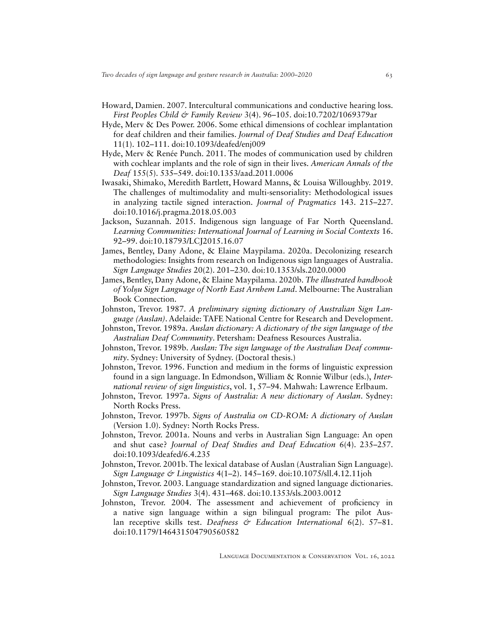- Howard, Damien. 2007. Intercultural communications and conductive hearing loss. *First Peoples Child & Family Review* 3(4). 96–105. [doi:10.7202/1069379ar](https://doi.org/10.7202/1069379ar)
- Hyde, Merv & Des Power. 2006. Some ethical dimensions of cochlear implantation for deaf children and their families. *Journal of Deaf Studies and Deaf Education* 11(1). 102–111. [doi:10.1093/deafed/enj009](https://doi.org/10.1093/deafed/enj009)
- Hyde, Merv & Renée Punch. 2011. The modes of communication used by children with cochlear implants and the role of sign in their lives. *American Annals of the Deaf* 155(5). 535–549. [doi:10.1353/aad.2011.0006](https://doi.org/10.1353/aad.2011.0006)
- Iwasaki, Shimako, Meredith Bartlett, Howard Manns, & Louisa Willoughby. 2019. The challenges of multimodality and multi-sensoriality: Methodological issues in analyzing tactile signed interaction. *Journal of Pragmatics* 143. 215–227. [doi:10.1016/j.pragma.2018.05.003](https://doi.org/10.1016/j.pragma.2018.05.003)
- Jackson, Suzannah. 2015. Indigenous sign language of Far North Queensland. *Learning Communities: International Journal of Learning in Social Contexts* 16. 92–99. [doi:10.18793/LCJ2015.16.07](https://doi.org/10.18793/LCJ2015.16.07)
- James, Bentley, Dany Adone, & Elaine Maypilama. 2020a. Decolonizing research methodologies: Insights from research on Indigenous sign languages of Australia. *Sign Language Studies* 20(2). 201–230. [doi:10.1353/sls.2020.0000](https://doi.org/10.1353/sls.2020.0000)
- James, Bentley, Dany Adone, & Elaine Maypilama. 2020b. *The illustrated handbook of Yolŋu Sign Language of North East Arnhem Land*. Melbourne: The Australian Book Connection.
- Johnston, Trevor. 1987. *A preliminary signing dictionary of Australian Sign Language (Auslan)*. Adelaide: TAFE National Centre for Research and Development.
- Johnston, Trevor. 1989a. *Auslan dictionary: A dictionary of the sign language of the Australian Deaf Community*. Petersham: Deafness Resources Australia.
- Johnston, Trevor. 1989b. *Auslan: The sign language of the Australian Deaf community*. Sydney: University of Sydney. (Doctoral thesis.)
- Johnston, Trevor. 1996. Function and medium in the forms of linguistic expression found in a sign language. In Edmondson, William & Ronnie Wilbur (eds.), *International review of sign linguistics*, vol. 1, 57–94. Mahwah: Lawrence Erlbaum.
- Johnston, Trevor. 1997a. *Signs of Australia: A new dictionary of Auslan*. Sydney: North Rocks Press.
- Johnston, Trevor. 1997b. *Signs of Australia on CD-ROM: A dictionary of Auslan* (Version 1.0). Sydney: North Rocks Press.
- Johnston, Trevor. 2001a. Nouns and verbs in Australian Sign Language: An open and shut case? *Journal of Deaf Studies and Deaf Education* 6(4). 235–257. [doi:10.1093/deafed/6.4.235](https://doi.org/10.1093/deafed/6.4.235)
- Johnston, Trevor. 2001b. The lexical database of Auslan (Australian Sign Language). *Sign Language & Linguistics* 4(1–2). 145–169. [doi:10.1075/sll.4.12.11joh](https://doi.org/10.1075/sll.4.12.11joh)
- Johnston, Trevor. 2003. Language standardization and signed language dictionaries. *Sign Language Studies* 3(4). 431–468. [doi:10.1353/sls.2003.0012](https://doi.org/10.1353/sls.2003.0012)
- Johnston, Trevor. 2004. The assessment and achievement of proficiency in a native sign language within a sign bilingual program: The pilot Auslan receptive skills test. *Deafness & Education International* 6(2). 57–81. [doi:10.1179/146431504790560582](https://doi.org/10.1179/146431504790560582)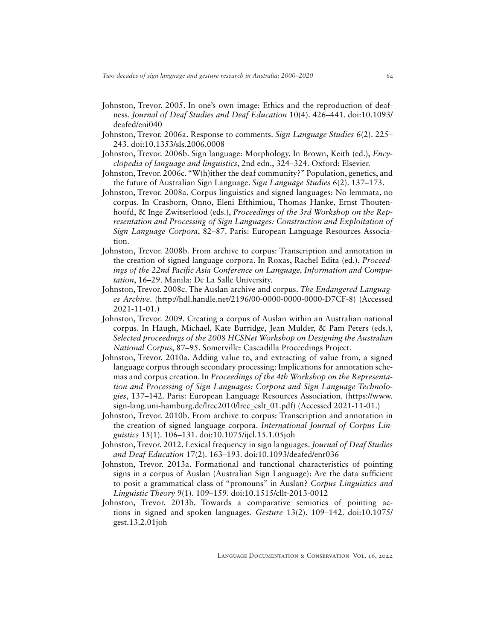- Johnston, Trevor. 2005. In one's own image: Ethics and the reproduction of deafness. *Journal of Deaf Studies and Deaf Education* 10(4). 426–441. [doi:10.1093/](https://doi.org/10.1093/deafed/eni040) [deafed/eni040](https://doi.org/10.1093/deafed/eni040)
- Johnston, Trevor. 2006a. Response to comments. *Sign Language Studies* 6(2). 225– 243. [doi:10.1353/sls.2006.0008](https://doi.org/10.1353/sls.2006.0008)
- Johnston, Trevor. 2006b. Sign language: Morphology. In Brown, Keith (ed.), *Encyclopedia of language and linguistics*, 2nd edn., 324–324. Oxford: Elsevier.
- Johnston, Trevor. 2006c. "W(h)ither the deaf community?" Population, genetics, and the future of Australian Sign Language. *Sign Language Studies* 6(2). 137–173.
- Johnston, Trevor. 2008a. Corpus linguistics and signed languages: No lemmata, no corpus. In Crasborn, Onno, Eleni Efthimiou, Thomas Hanke, Ernst Thoutenhoofd, & Inge Zwitserlood (eds.), *Proceedings of the 3rd Workshop on the Representation and Processing of Sign Languages: Construction and Exploitation of Sign Language Corpora*, 82–87. Paris: European Language Resources Association.
- Johnston, Trevor. 2008b. From archive to corpus: Transcription and annotation in the creation of signed language corpora. In Roxas, Rachel Edita (ed.), *Proceedings of the 22nd Pacific Asia Conference on Language, Information and Computation*, 16–29. Manila: De La Salle University.
- Johnston, Trevor. 2008c. The Auslan archive and corpus. *The Endangered Languages Archive*. [\(http://hdl.handle.net/2196/00-0000-0000-0000-D7CF-8\)](http://hdl.handle.net/2196/00-0000-0000-0000-D7CF-8) (Accessed 2021-11-01.)
- Johnston, Trevor. 2009. Creating a corpus of Auslan within an Australian national corpus. In Haugh, Michael, Kate Burridge, Jean Mulder, & Pam Peters (eds.), *Selected proceedings of the 2008 HCSNet Workshop on Designing the Australian National Corpus*, 87–95. Somerville: Cascadilla Proceedings Project.
- Johnston, Trevor. 2010a. Adding value to, and extracting of value from, a signed language corpus through secondary processing: Implications for annotation schemas and corpus creation. In *Proceedings of the 4th Workshop on the Representation and Processing of Sign Languages: Corpora and Sign Language Technologies*, 137–142. Paris: European Language Resources Association. ([https://www.](https://www.sign-lang.uni-hamburg.de/lrec2010/lrec_cslt_01.pdf) [sign-lang.uni-hamburg.de/lrec2010/lrec\\_cslt\\_01.pdf](https://www.sign-lang.uni-hamburg.de/lrec2010/lrec_cslt_01.pdf)) (Accessed 2021-11-01.)
- Johnston, Trevor. 2010b. From archive to corpus: Transcription and annotation in the creation of signed language corpora. *International Journal of Corpus Linguistics* 15(1). 106–131. [doi:10.1075/ijcl.15.1.05joh](https://doi.org/10.1075/ijcl.15.1.05joh)
- Johnston, Trevor. 2012. Lexical frequency in sign languages. *Journal of Deaf Studies and Deaf Education* 17(2). 163–193. [doi:10.1093/deafed/enr036](https://doi.org/10.1093/deafed/enr036)
- Johnston, Trevor. 2013a. Formational and functional characteristics of pointing signs in a corpus of Auslan (Australian Sign Language): Are the data sufficient to posit a grammatical class of "pronouns" in Auslan? *Corpus Linguistics and Linguistic Theory* 9(1). 109–159. [doi:10.1515/cllt-2013-0012](https://doi.org/10.1515/cllt-2013-0012)
- Johnston, Trevor. 2013b. Towards a comparative semiotics of pointing actions in signed and spoken languages. *Gesture* 13(2). 109–142. [doi:10.1075/](https://doi.org/10.1075/gest.13.2.01joh) [gest.13.2.01joh](https://doi.org/10.1075/gest.13.2.01joh)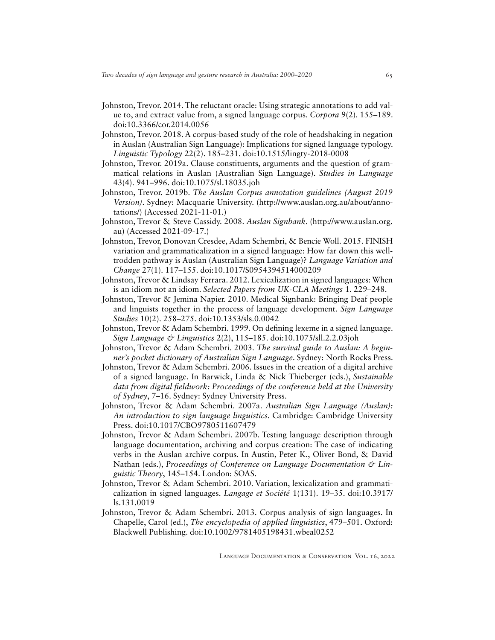- Johnston, Trevor. 2014. The reluctant oracle: Using strategic annotations to add value to, and extract value from, a signed language corpus. *Corpora* 9(2). 155–189. [doi:10.3366/cor.2014.0056](https://doi.org/10.3366/cor.2014.0056)
- Johnston, Trevor. 2018. A corpus-based study of the role of headshaking in negation in Auslan (Australian Sign Language): Implications for signed language typology. *Linguistic Typology* 22(2). 185–231. [doi:10.1515/lingty-2018-0008](https://doi.org/10.1515/lingty-2018-0008)
- Johnston, Trevor. 2019a. Clause constituents, arguments and the question of grammatical relations in Auslan (Australian Sign Language). *Studies in Language* 43(4). 941–996. [doi:10.1075/sl.18035.joh](https://doi.org/10.1075/sl.18035.joh)
- Johnston, Trevor. 2019b. *The Auslan Corpus annotation guidelines (August 2019 Version)*. Sydney: Macquarie University. ([http://www.auslan.org.au/about/anno](http://www.auslan.org.au/about/annotations/)[tations/](http://www.auslan.org.au/about/annotations/)) (Accessed 2021-11-01.)
- Johnston, Trevor & Steve Cassidy. 2008. *Auslan Signbank*. ([http://www.auslan.org.](http://www.auslan.org.au) [au\)](http://www.auslan.org.au) (Accessed 2021-09-17.)
- Johnston, Trevor, Donovan Cresdee, Adam Schembri, & Bencie Woll. 2015. FINISH variation and grammaticalization in a signed language: How far down this welltrodden pathway is Auslan (Australian Sign Language)? *Language Variation and Change* 27(1). 117–155. [doi:10.1017/S0954394514000209](https://doi.org/10.1017/S0954394514000209)
- Johnston, Trevor & Lindsay Ferrara. 2012. Lexicalization in signed languages: When is an idiom not an idiom. *Selected Papers from UK-CLA Meetings* 1. 229–248.
- Johnston, Trevor & Jemina Napier. 2010. Medical Signbank: Bringing Deaf people and linguists together in the process of language development. *Sign Language Studies* 10(2). 258–275. [doi:10.1353/sls.0.0042](https://doi.org/10.1353/sls.0.0042)
- Johnston, Trevor & Adam Schembri. 1999. On defining lexeme in a signed language. *Sign Language & Linguistics* 2(2), 115–185. [doi:10.1075/sll.2.2.03joh](https://doi.org/10.1075/sll.2.2.03joh)
- Johnston, Trevor & Adam Schembri. 2003. *The survival guide to Auslan: A beginner's pocket dictionary of Australian Sign Language*. Sydney: North Rocks Press.
- Johnston, Trevor & Adam Schembri. 2006. Issues in the creation of a digital archive of a signed language. In Barwick, Linda & Nick Thieberger (eds.), *Sustainable data from digital fieldwork: Proceedings of the conference held at the University of Sydney*, 7–16. Sydney: Sydney University Press.
- Johnston, Trevor & Adam Schembri. 2007a. *Australian Sign Language (Auslan): An introduction to sign language linguistics*. Cambridge: Cambridge University Press. [doi:10.1017/CBO9780511607479](https://doi.org/10.1017/CBO9780511607479)
- Johnston, Trevor & Adam Schembri. 2007b. Testing language description through language documentation, archiving and corpus creation: The case of indicating verbs in the Auslan archive corpus. In Austin, Peter K., Oliver Bond, & David Nathan (eds.), *Proceedings of Conference on Language Documentation & Linguistic Theory*, 145–154. London: SOAS.
- Johnston, Trevor & Adam Schembri. 2010. Variation, lexicalization and grammaticalization in signed languages. *Langage et Société* 1(131). 19–35. [doi:10.3917/](https://doi.org/10.3917/ls.131.0019) [ls.131.0019](https://doi.org/10.3917/ls.131.0019)
- Johnston, Trevor & Adam Schembri. 2013. Corpus analysis of sign languages. In Chapelle, Carol (ed.), *The encyclopedia of applied linguistics*, 479–501. Oxford: Blackwell Publishing. [doi:10.1002/9781405198431.wbeal0252](https://doi.org/10.1002/9781405198431.wbeal0252)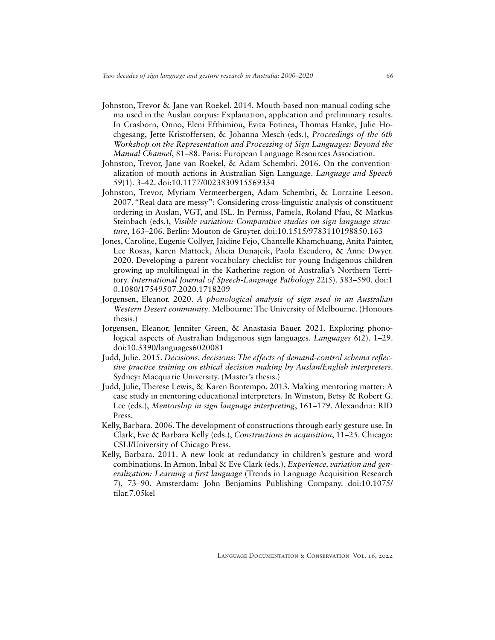- Johnston, Trevor & Jane van Roekel. 2014. Mouth-based non-manual coding schema used in the Auslan corpus: Explanation, application and preliminary results. In Crasborn, Onno, Eleni Efthimiou, Evita Fotinea, Thomas Hanke, Julie Hochgesang, Jette Kristoffersen, & Johanna Mesch (eds.), *Proceedings of the 6th Workshop on the Representation and Processing of Sign Languages: Beyond the Manual Channel*, 81–88. Paris: European Language Resources Association.
- Johnston, Trevor, Jane van Roekel, & Adam Schembri. 2016. On the conventionalization of mouth actions in Australian Sign Language. *Language and Speech*  59(1). 3–42. [doi:10.1177/0023830915569334](https://doi.org/10.1177/0023830915569334)
- Johnston, Trevor, Myriam Vermeerbergen, Adam Schembri, & Lorraine Leeson. 2007. "Real data are messy": Considering cross-linguistic analysis of constituent ordering in Auslan, VGT, and ISL. In Perniss, Pamela, Roland Pfau, & Markus Steinbach (eds.), *Visible variation: Comparative studies on sign language structure*, 163–206. Berlin: Mouton de Gruyter. [doi:10.1515/9783110198850.163](https://doi.org/10.1515/9783110198850.163)
- Jones, Caroline, Eugenie Collyer, Jaidine Fejo, Chantelle Khamchuang, Anita Painter, Lee Rosas, Karen Mattock, Alicia Dunajcik, Paola Escudero, & Anne Dwyer. 2020. Developing a parent vocabulary checklist for young Indigenous children growing up multilingual in the Katherine region of Australia's Northern Territory. *International Journal of Speech-Language Pathology* 22(5). 583–590. [doi:1](https://doi.org/10.1080/17549507.2020.1718209) [0.1080/17549507.2020.1718209](https://doi.org/10.1080/17549507.2020.1718209)
- Jorgensen, Eleanor. 2020. *A phonological analysis of sign used in an Australian Western Desert community*. Melbourne: The University of Melbourne. (Honours thesis.)
- Jorgensen, Eleanor, Jennifer Green, & Anastasia Bauer. 2021. Exploring phonological aspects of Australian Indigenous sign languages. *Languages* 6(2). 1–29. [doi:10.3390/languages6020081](https://doi.org/10.3390/languages6020081)
- Judd, Julie. 2015. *Decisions, decisions: The effects of demand-control schema reflective practice training on ethical decision making by Auslan/English interpreters*. Sydney: Macquarie University. (Master's thesis.)
- Judd, Julie, Therese Lewis, & Karen Bontempo. 2013. Making mentoring matter: A case study in mentoring educational interpreters. In Winston, Betsy & Robert G. Lee (eds.), *Mentorship in sign language interpreting*, 161–179. Alexandria: RID Press.
- Kelly, Barbara. 2006. The development of constructions through early gesture use. In Clark, Eve & Barbara Kelly (eds.), *Constructions in acquisition*, 11–25. Chicago: CSLI/University of Chicago Press.
- Kelly, Barbara. 2011. A new look at redundancy in children's gesture and word combinations. In Arnon, Inbal & Eve Clark (eds.), *Experience, variation and generalization: Learning a first language* (Trends in Language Acquisition Research 7), 73–90. Amsterdam: John Benjamins Publishing Company. [doi:10.1075/](https://doi.org/10.1075/tilar.7.05kel) [tilar.7.05kel](https://doi.org/10.1075/tilar.7.05kel)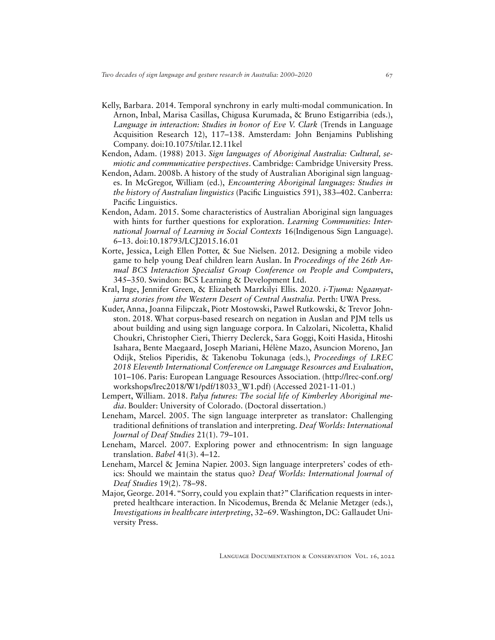- Kelly, Barbara. 2014. Temporal synchrony in early multi-modal communication. In Arnon, Inbal, Marisa Casillas, Chigusa Kurumada, & Bruno Estigarribia (eds.), *Language in interaction: Studies in honor of Eve V. Clark* (Trends in Language Acquisition Research 12), 117–138. Amsterdam: John Benjamins Publishing Company. [doi:10.1075/tilar.12.11kel](https://doi.org/10.1075/tilar.12.11kel)
- Kendon, Adam. (1988) 2013. *Sign languages of Aboriginal Australia: Cultural, semiotic and communicative perspectives*. Cambridge: Cambridge University Press.
- Kendon, Adam. 2008b. A history of the study of Australian Aboriginal sign languages. In McGregor, William (ed.), *Encountering Aboriginal languages: Studies in the history of Australian linguistics* (Pacific Linguistics 591), 383–402. Canberra: Pacific Linguistics.
- Kendon, Adam. 2015. Some characteristics of Australian Aboriginal sign languages with hints for further questions for exploration. *Learning Communities: International Journal of Learning in Social Contexts* 16(Indigenous Sign Language). 6–13. [doi:10.18793/LCJ2015.16.01](https://doi.org/10.18793/LCJ2015.16.01)
- Korte, Jessica, Leigh Ellen Potter, & Sue Nielsen. 2012. Designing a mobile video game to help young Deaf children learn Auslan. In *Proceedings of the 26th Annual BCS Interaction Specialist Group Conference on People and Computers*, 345–350. Swindon: BCS Learning & Development Ltd.
- Kral, Inge, Jennifer Green, & Elizabeth Marrkilyi Ellis. 2020. *i-Tjuma: Ngaanyatjarra stories from the Western Desert of Central Australia.* Perth: UWA Press.
- Kuder, Anna, Joanna Filipczak, Piotr Mostowski, Paweł Rutkowski, & Trevor Johnston. 2018. What corpus-based research on negation in Auslan and PJM tells us about building and using sign language corpora. In Calzolari, Nicoletta, Khalid Choukri, Christopher Cieri, Thierry Declerck, Sara Goggi, Koiti Hasida, Hitoshi Isahara, Bente Maegaard, Joseph Mariani, Hélène Mazo, Asuncion Moreno, Jan Odijk, Stelios Piperidis, & Takenobu Tokunaga (eds.), *Proceedings of LREC 2018 Eleventh International Conference on Language Resources and Evaluation*, 101–106. Paris: European Language Resources Association. [\(http://lrec-conf.org/](http://lrec-conf.org/workshops/lrec2018/W1/pdf/18033_W1.pdf) [workshops/lrec2018/W1/pdf/18033\\_W1.pdf\)](http://lrec-conf.org/workshops/lrec2018/W1/pdf/18033_W1.pdf) (Accessed 2021-11-01.)
- Lempert, William. 2018. *Palya futures: The social life of Kimberley Aboriginal media*. Boulder: University of Colorado. (Doctoral dissertation.)
- Leneham, Marcel. 2005. The sign language interpreter as translator: Challenging traditional definitions of translation and interpreting. *Deaf Worlds: International Journal of Deaf Studies* 21(1). 79–101.
- Leneham, Marcel. 2007. Exploring power and ethnocentrism: In sign language translation. *Babel* 41(3). 4–12.
- Leneham, Marcel & Jemina Napier. 2003. Sign language interpreters' codes of ethics: Should we maintain the status quo? *Deaf Worlds: International Journal of Deaf Studies* 19(2). 78–98.
- Major, George. 2014. "Sorry, could you explain that?" Clarification requests in interpreted healthcare interaction. In Nicodemus, Brenda & Melanie Metzger (eds.), *Investigations in healthcare interpreting*, 32–69. Washington, DC: Gallaudet University Press.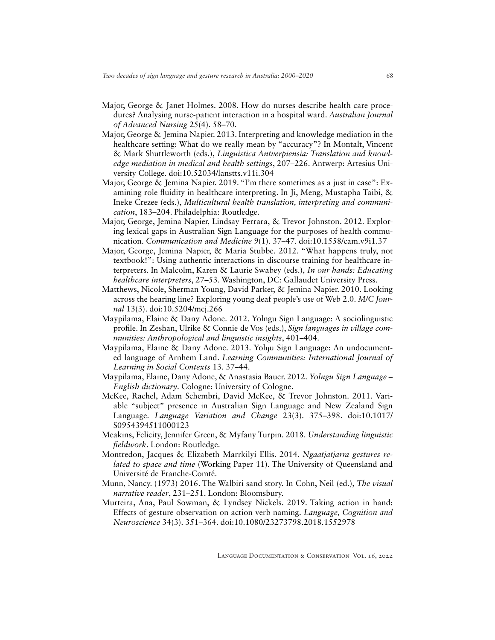- Major, George & Janet Holmes. 2008. How do nurses describe health care procedures? Analysing nurse-patient interaction in a hospital ward. *Australian Journal of Advanced Nursing* 25(4). 58–70.
- Major, George & Jemina Napier. 2013. Interpreting and knowledge mediation in the healthcare setting: What do we really mean by "accuracy"? In Montalt, Vincent & Mark Shuttleworth (eds.), *Linguistica Antverpiensia: Translation and knowledge mediation in medical and health settings*, 207–226. Antwerp: Artesius University College. [doi:10.52034/lanstts.v11i.304](https://doi.org/10.52034/lanstts.v11i.304)
- Major, George & Jemina Napier. 2019. "I'm there sometimes as a just in case": Examining role fluidity in healthcare interpreting. In Ji, Meng, Mustapha Taibi, & Ineke Crezee (eds.), *Multicultural health translation, interpreting and communication*, 183–204. Philadelphia: Routledge.
- Major, George, Jemina Napier, Lindsay Ferrara, & Trevor Johnston. 2012. Exploring lexical gaps in Australian Sign Language for the purposes of health communication. *Communication and Medicine* 9(1). 37–47. [doi:10.1558/cam.v9i1.37](https://doi.org/10.1558/cam.v9i1.37)
- Major, George, Jemina Napier, & Maria Stubbe. 2012. "What happens truly, not textbook!": Using authentic interactions in discourse training for healthcare interpreters. In Malcolm, Karen & Laurie Swabey (eds.), *In our hands: Educating healthcare interpreters*, 27–53. Washington, DC: Gallaudet University Press.
- Matthews, Nicole, Sherman Young, David Parker, & Jemina Napier. 2010. Looking across the hearing line? Exploring young deaf people's use of Web 2.0. *M/C Journal* 13(3). [doi:10.5204/mcj.266](https://doi.org/10.5204/mcj.266)
- Maypilama, Elaine & Dany Adone. 2012. Yolngu Sign Language: A sociolinguistic profile. In Zeshan, Ulrike & Connie de Vos (eds.), *Sign languages in village communities: Anthropological and linguistic insights*, 401–404.
- Maypilama, Elaine & Dany Adone. 2013. Yolŋu Sign Language: An undocumented language of Arnhem Land. *Learning Communities: International Journal of Learning in Social Contexts* 13. 37–44.
- Maypilama, Elaine, Dany Adone, & Anastasia Bauer. 2012. *Yolngu Sign Language English dictionary*. Cologne: University of Cologne.
- McKee, Rachel, Adam Schembri, David McKee, & Trevor Johnston. 2011. Variable "subject" presence in Australian Sign Language and New Zealand Sign Language. *Language Variation and Change* 23(3). 375–398. [doi:10.1017/](https://doi.org/10.1017/S0954394511000123) [S0954394511000123](https://doi.org/10.1017/S0954394511000123)
- Meakins, Felicity, Jennifer Green, & Myfany Turpin. 2018. *Understanding linguistic fieldwork*. London: Routledge.
- Montredon, Jacques & Elizabeth Marrkilyi Ellis. 2014. *Ngaatjatjarra gestures related to space and time* (Working Paper 11). The University of Queensland and Université de Franche-Comté.
- Munn, Nancy. (1973) 2016. The Walbiri sand story. In Cohn, Neil (ed.), *The visual narrative reader*, 231–251. London: Bloomsbury.
- Murteira, Ana, Paul Sowman, & Lyndsey Nickels. 2019. Taking action in hand: Effects of gesture observation on action verb naming. *Language, Cognition and Neuroscience* 34(3). 351–364. [doi:10.1080/23273798.2018.1552978](https://doi.org/10.1080/23273798.2018.1552978)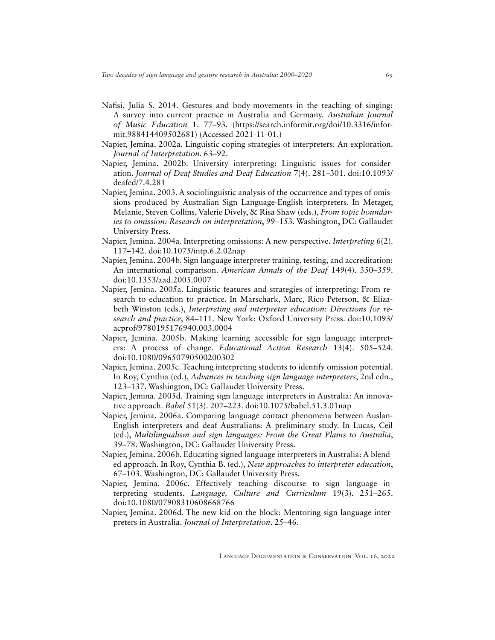- Nafisi, Julia S. 2014. Gestures and body-movements in the teaching of singing: A survey into current practice in Australia and Germany. *Australian Journal of Music Education* 1. 77–93. ([https://search.informit.org/doi/10.3316/infor](https://search.informit.org/doi/10.3316/informit.988414409502681)[mit.988414409502681\)](https://search.informit.org/doi/10.3316/informit.988414409502681) (Accessed 2021-11-01.)
- Napier, Jemina. 2002a. Linguistic coping strategies of interpreters: An exploration. *Journal of Interpretation*. 63–92.
- Napier, Jemina. 2002b. University interpreting: Linguistic issues for consideration. *Journal of Deaf Studies and Deaf Education* 7(4). 281–301. [doi:10.1093/](https://doi.org/10.1093/deafed/7.4.281) [deafed/7.4.281](https://doi.org/10.1093/deafed/7.4.281)
- Napier, Jemina. 2003. A sociolinguistic analysis of the occurrence and types of omissions produced by Australian Sign Language-English interpreters. In Metzger, Melanie, Steven Collins, Valerie Dively, & Risa Shaw (eds.), *From topic boundaries to omission: Research on interpretation*, 99–153. Washington, DC: Gallaudet University Press.
- Napier, Jemina. 2004a. Interpreting omissions: A new perspective. *Interpreting* 6(2). 117–142. [doi:10.1075/intp.6.2.02nap](https://doi.org/10.1075/intp.6.2.02nap)
- Napier, Jemina. 2004b. Sign language interpreter training, testing, and accreditation: An international comparison. *American Annals of the Deaf* 149(4). 350–359. [doi:10.1353/aad.2005.0007](https://doi.org/10.1353/aad.2005.0007)
- Napier, Jemina. 2005a. Linguistic features and strategies of interpreting: From research to education to practice. In Marschark, Marc, Rico Peterson, & Elizabeth Winston (eds.), *Interpreting and interpreter education: Directions for research and practice*, 84–111. New York: Oxford University Press. [doi:10.1093/](https://doi.org/10.1093/acprof/9780195176940.003.0004) [acprof/9780195176940.003.0004](https://doi.org/10.1093/acprof/9780195176940.003.0004)
- Napier, Jemina. 2005b. Making learning accessible for sign language interpreters: A process of change. *Educational Action Research* 13(4). 505–524. [doi:10.1080/09650790500200302](https://doi.org/10.1080/09650790500200302)
- Napier, Jemina. 2005c. Teaching interpreting students to identify omission potential. In Roy, Cynthia (ed.), *Advances in teaching sign language interpreters*, 2nd edn., 123–137. Washington, DC: Gallaudet University Press.
- Napier, Jemina. 2005d. Training sign language interpreters in Australia: An innovative approach. *Babel* 51(3). 207–223. [doi:10.1075/babel.51.3.01nap](https://doi.org/10.1075/babel.51.3.01nap)
- Napier, Jemina. 2006a. Comparing language contact phenomena between Auslan-English interpreters and deaf Australians: A preliminary study. In Lucas, Ceil (ed.), *Multilingualism and sign languages: From the Great Plains to Australia*, 39–78. Washington, DC: Gallaudet University Press.
- Napier, Jemina. 2006b. Educating signed language interpreters in Australia: A blended approach. In Roy, Cynthia B. (ed.), *New approaches to interpreter education*, 67–103. Washington, DC: Gallaudet University Press.
- Napier, Jemina. 2006c. Effectively teaching discourse to sign language interpreting students. *Language, Culture and Curriculum* 19(3). 251–265. [doi:10.1080/07908310608668766](https://doi.org/10.1080/07908310608668766)
- Napier, Jemina. 2006d. The new kid on the block: Mentoring sign language interpreters in Australia. *Journal of Interpretation*. 25–46.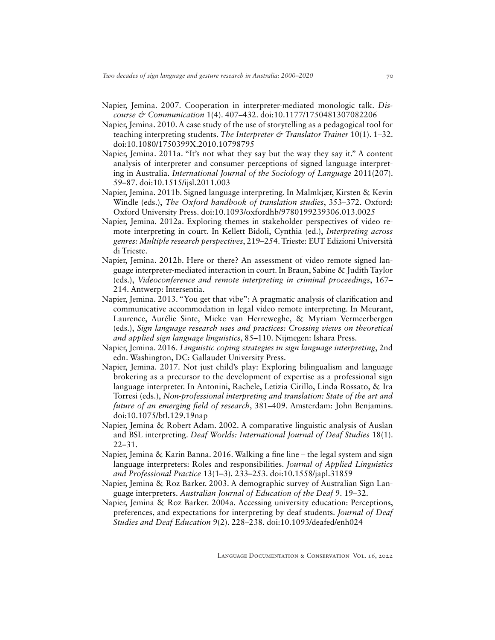- Napier, Jemina. 2007. Cooperation in interpreter-mediated monologic talk. *Discourse & Communication* 1(4). 407–432. [doi:10.1177/1750481307082206](https://doi.org/10.1177/1750481307082206)
- Napier, Jemina. 2010. A case study of the use of storytelling as a pedagogical tool for teaching interpreting students. *The Interpreter & Translator Trainer* 10(1). 1–32. [doi:10.1080/1750399X.2010.10798795](https://doi.org/10.1080/1750399X.2010.10798795)
- Napier, Jemina. 2011a. "It's not what they say but the way they say it." A content analysis of interpreter and consumer perceptions of signed language interpreting in Australia. *International Journal of the Sociology of Language* 2011(207). 59–87. [doi:10.1515/ijsl.2011.003](https://doi.org/10.1515/ijsl.2011.003)
- Napier, Jemina. 2011b. Signed language interpreting. In Malmkjær, Kirsten & Kevin Windle (eds.), *The Oxford handbook of translation studies*, 353–372. Oxford: Oxford University Press. [doi:10.1093/oxfordhb/9780199239306.013.0025](https://doi.org/10.1093/oxfordhb/9780199239306.013.0025)
- Napier, Jemina. 2012a. Exploring themes in stakeholder perspectives of video remote interpreting in court. In Kellett Bidoli, Cynthia (ed.), *Interpreting across genres: Multiple research perspectives*, 219–254. Trieste: EUT Edizioni Università di Trieste.
- Napier, Jemina. 2012b. Here or there? An assessment of video remote signed language interpreter-mediated interaction in court. In Braun, Sabine & Judith Taylor (eds.), *Videoconference and remote interpreting in criminal proceedings*, 167– 214. Antwerp: Intersentia.
- Napier, Jemina. 2013. "You get that vibe": A pragmatic analysis of clarification and communicative accommodation in legal video remote interpreting. In Meurant, Laurence, Aurélie Sinte, Mieke van Herreweghe, & Myriam Vermeerbergen (eds.), *Sign language research uses and practices: Crossing views on theoretical and applied sign language linguistics*, 85–110. Nijmegen: Ishara Press.
- Napier, Jemina. 2016. *Linguistic coping strategies in sign language interpreting*, 2nd edn. Washington, DC: Gallaudet University Press.
- Napier, Jemina. 2017. Not just child's play: Exploring bilingualism and language brokering as a precursor to the development of expertise as a professional sign language interpreter. In Antonini, Rachele, Letizia Cirillo, Linda Rossato, & Ira Torresi (eds.), *Non-professional interpreting and translation: State of the art and future of an emerging field of research*, 381–409. Amsterdam: John Benjamins. [doi:10.1075/btl.129.19nap](https://doi.org/10.1075/btl.129.19nap)
- Napier, Jemina & Robert Adam. 2002. A comparative linguistic analysis of Auslan and BSL interpreting. *Deaf Worlds: International Journal of Deaf Studies* 18(1). 22–31.
- Napier, Jemina & Karin Banna. 2016. Walking a fine line the legal system and sign language interpreters: Roles and responsibilities. *Journal of Applied Linguistics and Professional Practice* 13(1–3). 233–253. [doi:10.1558/japl.31859](https://doi.org/10.1558/japl.31859)
- Napier, Jemina & Roz Barker. 2003. A demographic survey of Australian Sign Language interpreters. *Australian Journal of Education of the Deaf* 9. 19–32.
- Napier, Jemina & Roz Barker. 2004a. Accessing university education: Perceptions, preferences, and expectations for interpreting by deaf students. *Journal of Deaf Studies and Deaf Education* 9(2). 228–238. [doi:10.1093/deafed/enh024](https://doi.org/10.1093/deafed/enh024)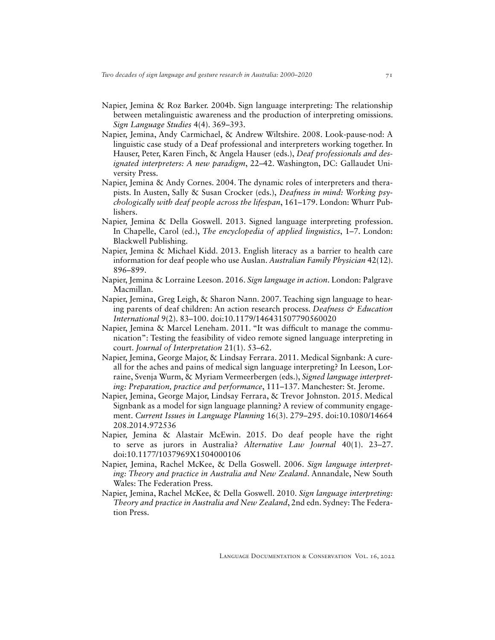- Napier, Jemina & Roz Barker. 2004b. Sign language interpreting: The relationship between metalinguistic awareness and the production of interpreting omissions. *Sign Language Studies* 4(4). 369–393.
- Napier, Jemina, Andy Carmichael, & Andrew Wiltshire. 2008. Look-pause-nod: A linguistic case study of a Deaf professional and interpreters working together. In Hauser, Peter, Karen Finch, & Angela Hauser (eds.), *Deaf professionals and designated interpreters: A new paradigm*, 22–42. Washington, DC: Gallaudet University Press.
- Napier, Jemina & Andy Cornes. 2004. The dynamic roles of interpreters and therapists. In Austen, Sally & Susan Crocker (eds.), *Deafness in mind: Working psychologically with deaf people across the lifespan*, 161–179. London: Whurr Publishers.
- Napier, Jemina & Della Goswell. 2013. Signed language interpreting profession. In Chapelle, Carol (ed.), *The encyclopedia of applied linguistics*, 1–7. London: Blackwell Publishing.
- Napier, Jemina & Michael Kidd. 2013. English literacy as a barrier to health care information for deaf people who use Auslan. *Australian Family Physician* 42(12). 896–899.
- Napier, Jemina & Lorraine Leeson. 2016. *Sign language in action*. London: Palgrave Macmillan.
- Napier, Jemina, Greg Leigh, & Sharon Nann. 2007. Teaching sign language to hearing parents of deaf children: An action research process. *Deafness & Education International* 9(2). 83–100. [doi:10.1179/146431507790560020](https://doi.org/10.1179/146431507790560020)
- Napier, Jemina & Marcel Leneham. 2011. "It was difficult to manage the communication": Testing the feasibility of video remote signed language interpreting in court. *Journal of Interpretation* 21(1). 53–62.
- Napier, Jemina, George Major, & Lindsay Ferrara. 2011. Medical Signbank: A cureall for the aches and pains of medical sign language interpreting? In Leeson, Lorraine, Svenja Wurm, & Myriam Vermeerbergen (eds.), *Signed language interpreting: Preparation, practice and performance*, 111–137. Manchester: St. Jerome.
- Napier, Jemina, George Major, Lindsay Ferrara, & Trevor Johnston. 2015. Medical Signbank as a model for sign language planning? A review of community engagement. *Current Issues in Language Planning* 16(3). 279–295. [doi:10.1080/14664](https://doi.org/10.1080/14664208.2014.972536) [208.2014.972536](https://doi.org/10.1080/14664208.2014.972536)
- Napier, Jemina & Alastair McEwin. 2015. Do deaf people have the right to serve as jurors in Australia? *Alternative Law Journal* 40(1). 23–27. [doi:10.1177/1037969X1504000106](https://doi.org/10.1177/1037969X1504000106)
- Napier, Jemina, Rachel McKee, & Della Goswell. 2006. *Sign language interpreting: Theory and practice in Australia and New Zealand*. Annandale, New South Wales: The Federation Press.
- Napier, Jemina, Rachel McKee, & Della Goswell. 2010. *Sign language interpreting: Theory and practice in Australia and New Zealand*, 2nd edn. Sydney: The Federation Press.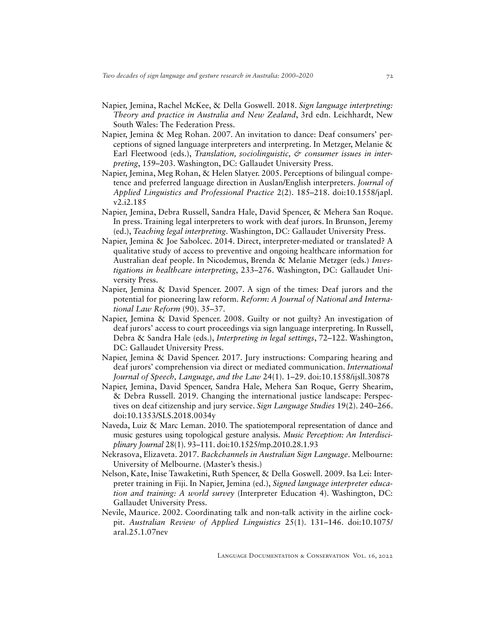- Napier, Jemina, Rachel McKee, & Della Goswell. 2018. *Sign language interpreting: Theory and practice in Australia and New Zealand*, 3rd edn. Leichhardt, New South Wales: The Federation Press.
- Napier, Jemina & Meg Rohan. 2007. An invitation to dance: Deaf consumers' perceptions of signed language interpreters and interpreting. In Metzger, Melanie & Earl Fleetwood (eds.), *Translation, sociolinguistic, & consumer issues in interpreting*, 159–203. Washington, DC: Gallaudet University Press.
- Napier, Jemina, Meg Rohan, & Helen Slatyer. 2005. Perceptions of bilingual competence and preferred language direction in Auslan/English interpreters. *Journal of Applied Linguistics and Professional Practice* 2(2). 185–218. [doi:10.1558/japl.](https://doi.org/10.1558/japl.v2.i2.185) [v2.i2.185](https://doi.org/10.1558/japl.v2.i2.185)
- Napier, Jemina, Debra Russell, Sandra Hale, David Spencer, & Mehera San Roque. In press. Training legal interpreters to work with deaf jurors. In Brunson, Jeremy (ed.), *Teaching legal interpreting*. Washington, DC: Gallaudet University Press.
- Napier, Jemina & Joe Sabolcec. 2014. Direct, interpreter-mediated or translated? A qualitative study of access to preventive and ongoing healthcare information for Australian deaf people. In Nicodemus, Brenda & Melanie Metzger (eds.) *Investigations in healthcare interpreting*, 233–276. Washington, DC: Gallaudet University Press.
- Napier, Jemina & David Spencer. 2007. A sign of the times: Deaf jurors and the potential for pioneering law reform. *Reform: A Journal of National and International Law Reform* (90). 35–37.
- Napier, Jemina & David Spencer. 2008. Guilty or not guilty? An investigation of deaf jurors' access to court proceedings via sign language interpreting. In Russell, Debra & Sandra Hale (eds.), *Interpreting in legal settings*, 72–122. Washington, DC: Gallaudet University Press.
- Napier, Jemina & David Spencer. 2017. Jury instructions: Comparing hearing and deaf jurors' comprehension via direct or mediated communication. *International Journal of Speech, Language, and the Law* 24(1). 1–29. [doi:10.1558/ijsll.30878](https://doi.org/10.1558/ijsll.30878)
- Napier, Jemina, David Spencer, Sandra Hale, Mehera San Roque, Gerry Shearim, & Debra Russell. 2019. Changing the international justice landscape: Perspectives on deaf citizenship and jury service. *Sign Language Studies* 19(2). 240–266. [doi:10.1353/SLS.2018.0034y](https://doi.org/10.1353/SLS.2018.0034)
- Naveda, Luiz & Marc Leman. 2010. The spatiotemporal representation of dance and music gestures using topological gesture analysis. *Music Perception: An Interdisciplinary Journal* 28(1). 93–111. [doi:10.1525/mp.2010.28.1.93](https://doi.org/10.1525/mp.2010.28.1.93)
- Nekrasova, Elizaveta. 2017. *Backchannels in Australian Sign Language*. Melbourne: University of Melbourne. (Master's thesis.)
- Nelson, Kate, Inise Tawaketini, Ruth Spencer, & Della Goswell. 2009. Isa Lei: Interpreter training in Fiji. In Napier, Jemina (ed.), *Signed language interpreter education and training: A world survey* (Interpreter Education 4). Washington, DC: Gallaudet University Press.
- Nevile, Maurice. 2002. Coordinating talk and non-talk activity in the airline cockpit. *Australian Review of Applied Linguistics* 25(1). 131–146. [doi:10.1075/](https://doi.org/10.1075/aral.25.1.07nev) [aral.25.1.07nev](https://doi.org/10.1075/aral.25.1.07nev)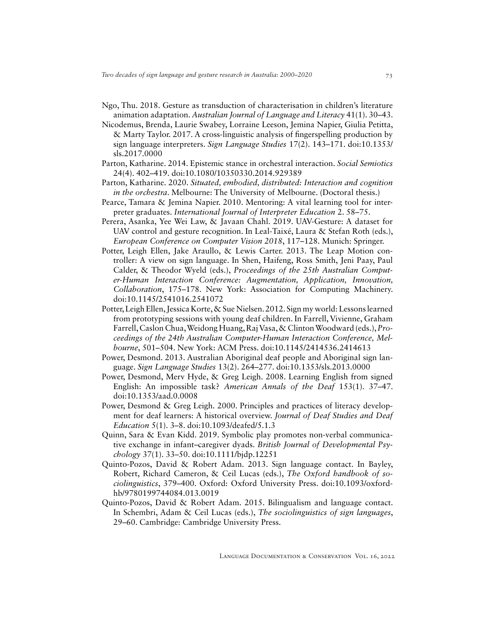- Ngo, Thu. 2018. Gesture as transduction of characterisation in children's literature animation adaptation. *Australian Journal of Language and Literacy* 41(1). 30–43.
- Nicodemus, Brenda, Laurie Swabey, Lorraine Leeson, Jemina Napier, Giulia Petitta, & Marty Taylor. 2017. A cross-linguistic analysis of fingerspelling production by sign language interpreters. *Sign Language Studies* 17(2). 143–171. [doi:10.1353/](https://doi.org/10.1353/sls.2017.0000) [sls.2017.0000](https://doi.org/10.1353/sls.2017.0000)
- Parton, Katharine. 2014. Epistemic stance in orchestral interaction. *Social Semiotics* 24(4). 402–419. [doi:10.1080/10350330.2014.929389](https://doi.org/10.1080/10350330.2014.929389)
- Parton, Katharine. 2020. *Situated, embodied, distributed: Interaction and cognition in the orchestra*. Melbourne: The University of Melbourne. (Doctoral thesis.)
- Pearce, Tamara & Jemina Napier. 2010. Mentoring: A vital learning tool for interpreter graduates. *International Journal of Interpreter Education* 2. 58–75.
- Perera, Asanka, Yee Wei Law, & Javaan Chahl. 2019. UAV-Gesture: A dataset for UAV control and gesture recognition. In Leal-Taixé, Laura & Stefan Roth (eds.), *European Conference on Computer Vision 2018*, 117–128. Munich: Springer.
- Potter, Leigh Ellen, Jake Araullo, & Lewis Carter. 2013. The Leap Motion controller: A view on sign language. In Shen, Haifeng, Ross Smith, Jeni Paay, Paul Calder, & Theodor Wyeld (eds.), *Proceedings of the 25th Australian Computer-Human Interaction Conference: Augmentation, Application, Innovation, Collaboration*, 175–178. New York: Association for Computing Machinery. [doi:10.1145/2541016.2541072](https://doi.org/10.1145/2541016.2541072)
- Potter, Leigh Ellen, Jessica Korte, & Sue Nielsen. 2012. Sign my world: Lessons learned from prototyping sessions with young deaf children. In Farrell, Vivienne, Graham Farrell, Caslon Chua, Weidong Huang, Raj Vasa, & Clinton Woodward (eds.), *Proceedings of the 24th Australian Computer-Human Interaction Conference, Melbourne*, 501–504. New York: ACM Press. [doi:10.1145/2414536.2414613](https://doi.org/10.1145/2414536.2414613)
- Power, Desmond. 2013. Australian Aboriginal deaf people and Aboriginal sign language. *Sign Language Studies* 13(2). 264–277. [doi:10.1353/sls.2013.0000](https://doi.org/10.1353/sls.2013.0000)
- Power, Desmond, Merv Hyde, & Greg Leigh. 2008. Learning English from signed English: An impossible task? *American Annals of the Deaf* 153(1). 37–47. [doi:10.1353/aad.0.0008](https://doi.org/10.1353/aad.0.0008)
- Power, Desmond & Greg Leigh. 2000. Principles and practices of literacy development for deaf learners: A historical overview. *Journal of Deaf Studies and Deaf Education* 5(1). 3–8. [doi:10.1093/deafed/5.1.3](https://doi.org/10.1093/deafed/5.1.3)
- Quinn, Sara & Evan Kidd. 2019. Symbolic play promotes non-verbal communicative exchange in infant–caregiver dyads. *British Journal of Developmental Psychology* 37(1). 33–50. [doi:10.1111/bjdp.12251](https://doi.org/10.1111/bjdp.12251)
- Quinto-Pozos, David & Robert Adam. 2013. Sign language contact. In Bayley, Robert, Richard Cameron, & Ceil Lucas (eds.), *The Oxford handbook of sociolinguistics*, 379–400. Oxford: Oxford University Press. [doi:10.1093/oxford](https://doi.org/10.1093/oxfordhb/9780199744084.013.0019)[hb/9780199744084.013.0019](https://doi.org/10.1093/oxfordhb/9780199744084.013.0019)
- Quinto-Pozos, David & Robert Adam. 2015. Bilingualism and language contact. In Schembri, Adam & Ceil Lucas (eds.), *The sociolinguistics of sign languages*, 29–60. Cambridge: Cambridge University Press.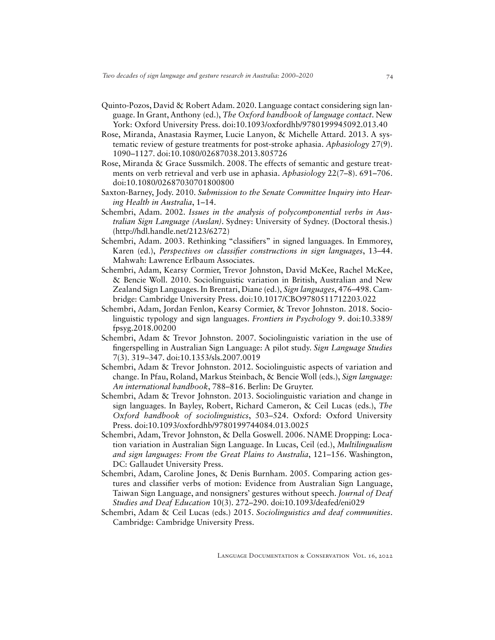- Quinto-Pozos, David & Robert Adam. 2020. Language contact considering sign language. In Grant, Anthony (ed.), *The Oxford handbook of language contact*. New York: Oxford University Press. [doi:10.1093/oxfordhb/9780199945092.013.40](https://doi.org/10.1093/oxfordhb/9780199945092.013.40)
- Rose, Miranda, Anastasia Raymer, Lucie Lanyon, & Michelle Attard. 2013. A systematic review of gesture treatments for post-stroke aphasia. *Aphasiology* 27(9). 1090–1127. [doi:10.1080/02687038.2013.805726](https://doi.org/10.1080/02687038.2013.805726)
- Rose, Miranda & Grace Sussmilch. 2008. The effects of semantic and gesture treatments on verb retrieval and verb use in aphasia. *Aphasiology* 22(7–8). 691–706. [doi:10.1080/02687030701800800](https://doi.org/10.1080/02687030701800800)
- Saxton-Barney, Jody. 2010. *Submission to the Senate Committee Inquiry into Hearing Health in Australia*, 1–14.
- Schembri, Adam. 2002. *Issues in the analysis of polycomponential verbs in Australian Sign Language (Auslan)*. Sydney: University of Sydney. (Doctoral thesis.) ([http://hdl.handle.net/2123/6272\)](http://hdl.handle.net/2123/6272)
- Schembri, Adam. 2003. Rethinking "classifiers" in signed languages. In Emmorey, Karen (ed.), *Perspectives on classifier constructions in sign languages*, 13–44. Mahwah: Lawrence Erlbaum Associates.
- Schembri, Adam, Kearsy Cormier, Trevor Johnston, David McKee, Rachel McKee, & Bencie Woll. 2010. Sociolinguistic variation in British, Australian and New Zealand Sign Languages. In Brentari, Diane (ed.), *Sign languages*, 476–498. Cambridge: Cambridge University Press. [doi:10.1017/CBO9780511712203.022](https://doi.org/10.1017/CBO9780511712203.022)
- Schembri, Adam, Jordan Fenlon, Kearsy Cormier, & Trevor Johnston. 2018. Sociolinguistic typology and sign languages. *Frontiers in Psychology* 9. [doi:10.3389/](https://doi.org/10.3389/fpsyg.2018.00200) [fpsyg.2018.00200](https://doi.org/10.3389/fpsyg.2018.00200)
- Schembri, Adam & Trevor Johnston. 2007. Sociolinguistic variation in the use of fingerspelling in Australian Sign Language: A pilot study. *Sign Language Studies* 7(3). 319–347. [doi:10.1353/sls.2007.0019](https://doi.org/10.1353/sls.2007.0019)
- Schembri, Adam & Trevor Johnston. 2012. Sociolinguistic aspects of variation and change. In Pfau, Roland, Markus Steinbach, & Bencie Woll (eds.), *Sign language: An international handbook*, 788–816. Berlin: De Gruyter.
- Schembri, Adam & Trevor Johnston. 2013. Sociolinguistic variation and change in sign languages. In Bayley, Robert, Richard Cameron, & Ceil Lucas (eds.), *The Oxford handbook of sociolinguistics*, 503–524. Oxford: Oxford University Press. [doi:10.1093/oxfordhb/9780199744084.013.0025](https://doi.org/10.1093/oxfordhb/9780199744084.013.0025)
- Schembri, Adam, Trevor Johnston, & Della Goswell. 2006. NAME Dropping: Location variation in Australian Sign Language. In Lucas, Ceil (ed.), *Multilingualism and sign languages: From the Great Plains to Australia*, 121–156. Washington, DC: Gallaudet University Press.
- Schembri, Adam, Caroline Jones, & Denis Burnham. 2005. Comparing action gestures and classifier verbs of motion: Evidence from Australian Sign Language, Taiwan Sign Language, and nonsigners' gestures without speech. *Journal of Deaf Studies and Deaf Education* 10(3). 272–290. [doi:10.1093/deafed/eni029](https://doi.org/10.1093/deafed/eni029)
- Schembri, Adam & Ceil Lucas (eds.) 2015. *Sociolinguistics and deaf communities*. Cambridge: Cambridge University Press.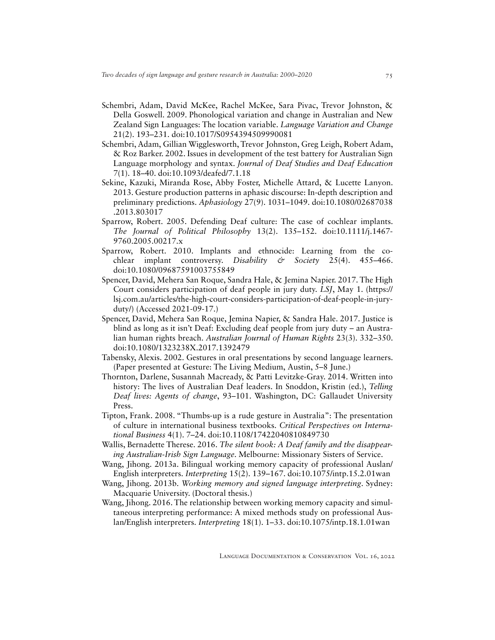- Schembri, Adam, David McKee, Rachel McKee, Sara Pivac, Trevor Johnston, & Della Goswell. 2009. Phonological variation and change in Australian and New Zealand Sign Languages: The location variable. *Language Variation and Change* 21(2). 193–231. [doi:10.1017/S0954394509990081](https://doi.org/10.1017/S0954394509990081)
- Schembri, Adam, Gillian Wigglesworth, Trevor Johnston, Greg Leigh, Robert Adam, & Roz Barker. 2002. Issues in development of the test battery for Australian Sign Language morphology and syntax. *Journal of Deaf Studies and Deaf Education* 7(1). 18–40. [doi:10.1093/deafed/7.1.18](https://doi.org/10.1093/deafed/7.1.18)
- Sekine, Kazuki, Miranda Rose, Abby Foster, Michelle Attard, & Lucette Lanyon. 2013. Gesture production patterns in aphasic discourse: In-depth description and preliminary predictions. *Aphasiology* 27(9). 1031–1049. [doi:10.1080/02687038](https://doi.org/10.1080/02687038.2013.803017) [.2013.803017](https://doi.org/10.1080/02687038.2013.803017)
- Sparrow, Robert. 2005. Defending Deaf culture: The case of cochlear implants. *The Journal of Political Philosophy* 13(2). 135–152. [doi:10.1111/j.1467-](https://doi.org/10.1111/j.1467-9760.2005.00217.x) [9760.2005.00217.x](https://doi.org/10.1111/j.1467-9760.2005.00217.x)
- Sparrow, Robert. 2010. Implants and ethnocide: Learning from the cochlear implant controversy. *Disability & Society* 25(4). 455–466. [doi:10.1080/09687591003755849](https://doi.org/10.1080/09687591003755849)
- Spencer, David, Mehera San Roque, Sandra Hale, & Jemina Napier. 2017. The High Court considers participation of deaf people in jury duty. *LSJ*, May 1. ([https://](https://lsj.com.au/articles/the-high-court-considers-participation-of-deaf-people-in-jury-duty/) [lsj.com.au/articles/the-high-court-considers-participation-of-deaf-people-in-jury](https://lsj.com.au/articles/the-high-court-considers-participation-of-deaf-people-in-jury-duty/)[duty/](https://lsj.com.au/articles/the-high-court-considers-participation-of-deaf-people-in-jury-duty/)) (Accessed 2021-09-17.)
- Spencer, David, Mehera San Roque, Jemina Napier, & Sandra Hale. 2017. Justice is blind as long as it isn't Deaf: Excluding deaf people from jury duty – an Australian human rights breach. *Australian Journal of Human Rights* 23(3). 332–350. [doi:10.1080/1323238X.2017.1392479](https://doi.org/10.1080/1323238X.2017.1392479)
- Tabensky, Alexis. 2002. Gestures in oral presentations by second language learners. (Paper presented at Gesture: The Living Medium, Austin, 5–8 June.)
- Thornton, Darlene, Susannah Macready, & Patti Levitzke-Gray. 2014. Written into history: The lives of Australian Deaf leaders. In Snoddon, Kristin (ed.), *Telling Deaf lives: Agents of change*, 93–101. Washington, DC: Gallaudet University Press.
- Tipton, Frank. 2008. "Thumbs‐up is a rude gesture in Australia": The presentation of culture in international business textbooks. *Critical Perspectives on International Business* 4(1). 7–24. [doi:10.1108/17422040810849730](https://doi.org/10.1108/17422040810849730)
- Wallis, Bernadette Therese. 2016. *The silent book: A Deaf family and the disappearing Australian-Irish Sign Language*. Melbourne: Missionary Sisters of Service.
- Wang, Jihong. 2013a. Bilingual working memory capacity of professional Auslan/ English interpreters. *Interpreting* 15(2). 139–167. [doi:10.1075/intp.15.2.01wan](https://doi.org/doi:10.1075/intp.15.2.01wan)
- Wang, Jihong. 2013b. *Working memory and signed language interpreting*. Sydney: Macquarie University. (Doctoral thesis.)
- Wang, Jihong. 2016. The relationship between working memory capacity and simultaneous interpreting performance: A mixed methods study on professional Auslan/English interpreters. *Interpreting* 18(1). 1–33. [doi:10.1075/intp.18.1.01wan](https://doi.org/10.1075/intp.18.1.01wan)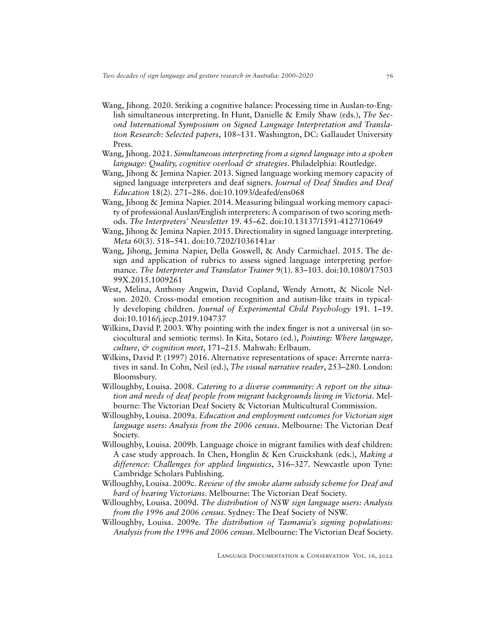- Wang, Jihong. 2020. Striking a cognitive balance: Processing time in Auslan-to-English simultaneous interpreting. In Hunt, Danielle & Emily Shaw (eds.), *The Second International Symposium on Signed Language Interpretation and Translation Research: Selected papers*, 108–131. Washington, DC: Gallaudet University Press.
- Wang, Jihong. 2021. *Simultaneous interpreting from a signed language into a spoken language: Quality, cognitive overload & strategies*. Philadelphia: Routledge.
- Wang, Jihong & Jemina Napier. 2013. Signed language working memory capacity of signed language interpreters and deaf signers. *Journal of Deaf Studies and Deaf Education* 18(2). 271–286. [doi:10.1093/deafed/ens068](https://doi.org/10.1093/deafed/ens068)
- Wang, Jihong & Jemina Napier. 2014. Measuring bilingual working memory capacity of professional Auslan/English interpreters: A comparison of two scoring methods. *The Interpreters' Newsletter* 19. 45–62. [doi:10.13137/1591-4127/10649](https://doi.org/10.13137/1591-4127/10649)
- Wang, Jihong & Jemina Napier. 2015. Directionality in signed language interpreting. *Meta* 60(3). 518–541. [doi:10.7202/1036141ar](https://doi.org/10.7202/1036141ar)
- Wang, Jihong, Jemina Napier, Della Goswell, & Andy Carmichael. 2015. The design and application of rubrics to assess signed language interpreting performance. *The Interpreter and Translator Trainer* 9(1). 83–103. [doi:10.1080/17503](https://doi.org/10.1080/1750399X.2015.1009261) [99X.2015.1009261](https://doi.org/10.1080/1750399X.2015.1009261)
- West, Melina, Anthony Angwin, David Copland, Wendy Arnott, & Nicole Nelson. 2020. Cross-modal emotion recognition and autism-like traits in typically developing children. *Journal of Experimental Child Psychology* 191. 1–19. [doi:10.1016/j.jecp.2019.104737](https://doi.org/10.1016/j.jecp.2019.104737)
- Wilkins, David P. 2003. Why pointing with the index finger is not a universal (in sociocultural and semiotic terms). In Kita, Sotaro (ed.), *Pointing: Where language, culture, & cognition meet*, 171–215. Mahwah: Erlbaum.
- Wilkins, David P. (1997) 2016. Alternative representations of space: Arrernte narratives in sand. In Cohn, Neil (ed.), *The visual narrative reader*, 253–280. London: Bloomsbury.
- Willoughby, Louisa. 2008. *Catering to a diverse community: A report on the situation and needs of deaf people from migrant backgrounds living in Victoria*. Melbourne: The Victorian Deaf Society & Victorian Multicultural Commission.
- Willoughby, Louisa. 2009a. *Education and employment outcomes for Victorian sign language users: Analysis from the 2006 census*. Melbourne: The Victorian Deaf Society.
- Willoughby, Louisa. 2009b. Language choice in migrant families with deaf children: A case study approach. In Chen, Honglin & Ken Cruickshank (eds.), *Making a difference: Challenges for applied linguistics*, 316–327. Newcastle upon Tyne: Cambridge Scholars Publishing.
- Willoughby, Louisa. 2009c. *Review of the smoke alarm subsidy scheme for Deaf and hard of hearing Victorians*. Melbourne: The Victorian Deaf Society.
- Willoughby, Louisa. 2009d. *The distribution of NSW sign language users: Analysis from the 1996 and 2006 census*. Sydney: The Deaf Society of NSW.
- Willoughby, Louisa. 2009e. *The distribution of Tasmania's signing populations: Analysis from the 1996 and 2006 census*. Melbourne: The Victorian Deaf Society.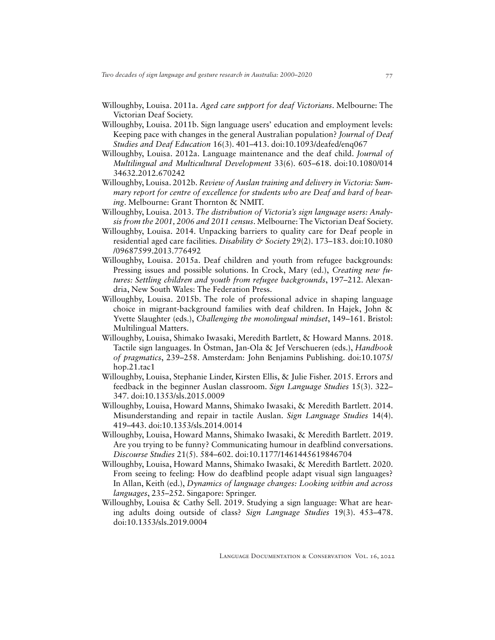- Willoughby, Louisa. 2011a. *Aged care support for deaf Victorians*. Melbourne: The Victorian Deaf Society.
- Willoughby, Louisa. 2011b. Sign language users' education and employment levels: Keeping pace with changes in the general Australian population? *Journal of Deaf Studies and Deaf Education* 16(3). 401–413. [doi:10.1093/deafed/enq067](https://doi.org/10.1093/deafed/enq067)
- Willoughby, Louisa. 2012a. Language maintenance and the deaf child. *Journal of Multilingual and Multicultural Development* 33(6). 605–618. [doi:10.1080/014](https://doi.org/10.1080/01434632.2012.670242) [34632.2012.670242](https://doi.org/10.1080/01434632.2012.670242)
- Willoughby, Louisa. 2012b. *Review of Auslan training and delivery in Victoria: Summary report for centre of excellence for students who are Deaf and hard of hearing*. Melbourne: Grant Thornton & NMIT.
- Willoughby, Louisa. 2013. *The distribution of Victoria's sign language users: Analysis from the 2001, 2006 and 2011 census*. Melbourne: The Victorian Deaf Society.
- Willoughby, Louisa. 2014. Unpacking barriers to quality care for Deaf people in residential aged care facilities. *Disability & Society* 29(2). 173–183. [doi:10.1080](https://doi.org/10.1080/09687599.2013.776492) [/09687599.2013.776492](https://doi.org/10.1080/09687599.2013.776492)
- Willoughby, Louisa. 2015a. Deaf children and youth from refugee backgrounds: Pressing issues and possible solutions. In Crock, Mary (ed.), *Creating new futures: Settling children and youth from refugee backgrounds*, 197–212. Alexandria, New South Wales: The Federation Press.
- Willoughby, Louisa. 2015b. The role of professional advice in shaping language choice in migrant-background families with deaf children. In Hajek, John & Yvette Slaughter (eds.), *Challenging the monolingual mindset*, 149–161. Bristol: Multilingual Matters.
- Willoughby, Louisa, Shimako Iwasaki, Meredith Bartlett, & Howard Manns. 2018. Tactile sign languages. In Östman, Jan-Ola & Jef Verschueren (eds.), *Handbook of pragmatics*, 239–258. Amsterdam: John Benjamins Publishing. [doi:10.1075/](https://doi.org/10.1075/hop.21.tac1) [hop.21.tac1](https://doi.org/10.1075/hop.21.tac1)
- Willoughby, Louisa, Stephanie Linder, Kirsten Ellis, & Julie Fisher. 2015. Errors and feedback in the beginner Auslan classroom. *Sign Language Studies* 15(3). 322– 347. [doi:10.1353/sls.2015.0009](https://doi.org/10.1353/sls.2015.0009)
- Willoughby, Louisa, Howard Manns, Shimako Iwasaki, & Meredith Bartlett. 2014. Misunderstanding and repair in tactile Auslan. *Sign Language Studies* 14(4). 419–443. [doi:10.1353/sls.2014.0014](https://doi.org/10.1353/sls.2014.0014)
- Willoughby, Louisa, Howard Manns, Shimako Iwasaki, & Meredith Bartlett. 2019. Are you trying to be funny? Communicating humour in deafblind conversations. *Discourse Studies* 21(5). 584–602. [doi:10.1177/1461445619846704](https://doi.org/10.1177/1461445619846704)
- Willoughby, Louisa, Howard Manns, Shimako Iwasaki, & Meredith Bartlett. 2020. From seeing to feeling: How do deafblind people adapt visual sign languages? In Allan, Keith (ed.), *Dynamics of language changes: Looking within and across languages*, 235–252. Singapore: Springer.
- Willoughby, Louisa & Cathy Sell. 2019. Studying a sign language: What are hearing adults doing outside of class? *Sign Language Studies* 19(3). 453–478. [doi:10.1353/sls.2019.0004](https://doi.org/10.1353/sls.2019.0004)